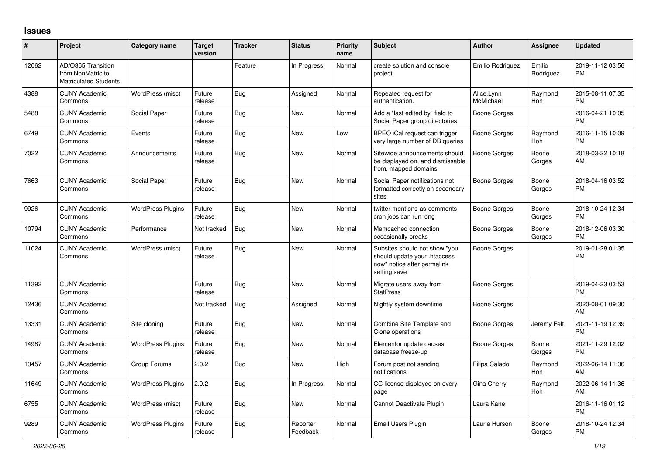## **Issues**

| #     | Project                                                                 | <b>Category name</b>     | <b>Target</b><br>version | <b>Tracker</b> | <b>Status</b>        | <b>Priority</b><br>name | <b>Subject</b>                                                                                               | <b>Author</b>           | <b>Assignee</b>     | <b>Updated</b>                |
|-------|-------------------------------------------------------------------------|--------------------------|--------------------------|----------------|----------------------|-------------------------|--------------------------------------------------------------------------------------------------------------|-------------------------|---------------------|-------------------------------|
| 12062 | AD/O365 Transition<br>from NonMatric to<br><b>Matriculated Students</b> |                          |                          | Feature        | In Progress          | Normal                  | create solution and console<br>project                                                                       | Emilio Rodriguez        | Emilio<br>Rodriguez | 2019-11-12 03:56<br><b>PM</b> |
| 4388  | <b>CUNY Academic</b><br>Commons                                         | WordPress (misc)         | Future<br>release        | Bug            | Assigned             | Normal                  | Repeated request for<br>authentication.                                                                      | Alice.Lynn<br>McMichael | Raymond<br>Hoh      | 2015-08-11 07:35<br><b>PM</b> |
| 5488  | <b>CUNY Academic</b><br>Commons                                         | Social Paper             | Future<br>release        | Bug            | New                  | Normal                  | Add a "last edited by" field to<br>Social Paper group directories                                            | Boone Gorges            |                     | 2016-04-21 10:05<br><b>PM</b> |
| 6749  | <b>CUNY Academic</b><br>Commons                                         | Events                   | Future<br>release        | <b>Bug</b>     | <b>New</b>           | Low                     | BPEO iCal request can trigger<br>very large number of DB queries                                             | Boone Gorges            | Raymond<br>Hoh      | 2016-11-15 10:09<br><b>PM</b> |
| 7022  | <b>CUNY Academic</b><br>Commons                                         | Announcements            | Future<br>release        | Bug            | New                  | Normal                  | Sitewide announcements should<br>be displayed on, and dismissable<br>from, mapped domains                    | Boone Gorges            | Boone<br>Gorges     | 2018-03-22 10:18<br>AM        |
| 7663  | <b>CUNY Academic</b><br>Commons                                         | Social Paper             | Future<br>release        | Bug            | <b>New</b>           | Normal                  | Social Paper notifications not<br>formatted correctly on secondary<br>sites                                  | Boone Gorges            | Boone<br>Gorges     | 2018-04-16 03:52<br><b>PM</b> |
| 9926  | <b>CUNY Academic</b><br>Commons                                         | <b>WordPress Plugins</b> | Future<br>release        | <b>Bug</b>     | <b>New</b>           | Normal                  | twitter-mentions-as-comments<br>cron jobs can run long                                                       | <b>Boone Gorges</b>     | Boone<br>Gorges     | 2018-10-24 12:34<br><b>PM</b> |
| 10794 | <b>CUNY Academic</b><br>Commons                                         | Performance              | Not tracked              | <b>Bug</b>     | <b>New</b>           | Normal                  | Memcached connection<br>occasionally breaks                                                                  | Boone Gorges            | Boone<br>Gorges     | 2018-12-06 03:30<br><b>PM</b> |
| 11024 | <b>CUNY Academic</b><br>Commons                                         | WordPress (misc)         | Future<br>release        | <b>Bug</b>     | <b>New</b>           | Normal                  | Subsites should not show "you<br>should update your .htaccess<br>now" notice after permalink<br>setting save | <b>Boone Gorges</b>     |                     | 2019-01-28 01:35<br><b>PM</b> |
| 11392 | <b>CUNY Academic</b><br>Commons                                         |                          | Future<br>release        | Bug            | <b>New</b>           | Normal                  | Migrate users away from<br><b>StatPress</b>                                                                  | Boone Gorges            |                     | 2019-04-23 03:53<br><b>PM</b> |
| 12436 | <b>CUNY Academic</b><br>Commons                                         |                          | Not tracked              | Bug            | Assigned             | Normal                  | Nightly system downtime                                                                                      | <b>Boone Gorges</b>     |                     | 2020-08-01 09:30<br>AM        |
| 13331 | <b>CUNY Academic</b><br>Commons                                         | Site cloning             | Future<br>release        | Bug            | <b>New</b>           | Normal                  | Combine Site Template and<br>Clone operations                                                                | Boone Gorges            | Jeremy Felt         | 2021-11-19 12:39<br><b>PM</b> |
| 14987 | <b>CUNY Academic</b><br>Commons                                         | <b>WordPress Plugins</b> | Future<br>release        | Bug            | <b>New</b>           | Normal                  | Elementor update causes<br>database freeze-up                                                                | Boone Gorges            | Boone<br>Gorges     | 2021-11-29 12:02<br><b>PM</b> |
| 13457 | <b>CUNY Academic</b><br>Commons                                         | Group Forums             | 2.0.2                    | Bug            | <b>New</b>           | High                    | Forum post not sending<br>notifications                                                                      | Filipa Calado           | Raymond<br>Hoh      | 2022-06-14 11:36<br>AM        |
| 11649 | <b>CUNY Academic</b><br>Commons                                         | <b>WordPress Plugins</b> | 2.0.2                    | Bug            | In Progress          | Normal                  | CC license displayed on every<br>page                                                                        | Gina Cherry             | Raymond<br>Hoh      | 2022-06-14 11:36<br>AM        |
| 6755  | <b>CUNY Academic</b><br>Commons                                         | WordPress (misc)         | Future<br>release        | Bug            | <b>New</b>           | Normal                  | Cannot Deactivate Plugin                                                                                     | Laura Kane              |                     | 2016-11-16 01:12<br><b>PM</b> |
| 9289  | <b>CUNY Academic</b><br>Commons                                         | <b>WordPress Plugins</b> | Future<br>release        | Bug            | Reporter<br>Feedback | Normal                  | <b>Email Users Plugin</b>                                                                                    | Laurie Hurson           | Boone<br>Gorges     | 2018-10-24 12:34<br><b>PM</b> |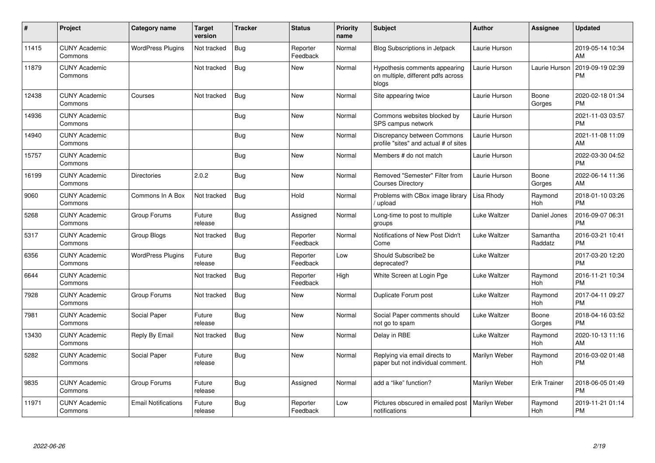| $\vert$ # | Project                         | <b>Category name</b>       | <b>Target</b><br>version | <b>Tracker</b> | <b>Status</b>        | <b>Priority</b><br>name | <b>Subject</b>                                                               | <b>Author</b>       | <b>Assignee</b>       | <b>Updated</b>                |
|-----------|---------------------------------|----------------------------|--------------------------|----------------|----------------------|-------------------------|------------------------------------------------------------------------------|---------------------|-----------------------|-------------------------------|
| 11415     | <b>CUNY Academic</b><br>Commons | <b>WordPress Plugins</b>   | Not tracked              | <b>Bug</b>     | Reporter<br>Feedback | Normal                  | Blog Subscriptions in Jetpack                                                | Laurie Hurson       |                       | 2019-05-14 10:34<br>AM        |
| 11879     | <b>CUNY Academic</b><br>Commons |                            | Not tracked              | <b>Bug</b>     | <b>New</b>           | Normal                  | Hypothesis comments appearing<br>on multiple, different pdfs across<br>blogs | Laurie Hurson       | Laurie Hurson         | 2019-09-19 02:39<br><b>PM</b> |
| 12438     | <b>CUNY Academic</b><br>Commons | Courses                    | Not tracked              | Bug            | New                  | Normal                  | Site appearing twice                                                         | Laurie Hurson       | Boone<br>Gorges       | 2020-02-18 01:34<br><b>PM</b> |
| 14936     | <b>CUNY Academic</b><br>Commons |                            |                          | Bug            | New                  | Normal                  | Commons websites blocked by<br>SPS campus network                            | Laurie Hurson       |                       | 2021-11-03 03:57<br><b>PM</b> |
| 14940     | <b>CUNY Academic</b><br>Commons |                            |                          | <b>Bug</b>     | New                  | Normal                  | Discrepancy between Commons<br>profile "sites" and actual # of sites         | Laurie Hurson       |                       | 2021-11-08 11:09<br>AM        |
| 15757     | <b>CUNY Academic</b><br>Commons |                            |                          | <b>Bug</b>     | <b>New</b>           | Normal                  | Members # do not match                                                       | Laurie Hurson       |                       | 2022-03-30 04:52<br><b>PM</b> |
| 16199     | <b>CUNY Academic</b><br>Commons | <b>Directories</b>         | 2.0.2                    | Bug            | New                  | Normal                  | Removed "Semester" Filter from<br><b>Courses Directory</b>                   | Laurie Hurson       | Boone<br>Gorges       | 2022-06-14 11:36<br>AM        |
| 9060      | <b>CUNY Academic</b><br>Commons | Commons In A Box           | Not tracked              | Bug            | Hold                 | Normal                  | Problems with CBox image library<br>/ upload                                 | Lisa Rhody          | Raymond<br><b>Hoh</b> | 2018-01-10 03:26<br><b>PM</b> |
| 5268      | <b>CUNY Academic</b><br>Commons | Group Forums               | Future<br>release        | <b>Bug</b>     | Assigned             | Normal                  | Long-time to post to multiple<br>groups                                      | <b>Luke Waltzer</b> | Daniel Jones          | 2016-09-07 06:31<br><b>PM</b> |
| 5317      | <b>CUNY Academic</b><br>Commons | Group Blogs                | Not tracked              | <b>Bug</b>     | Reporter<br>Feedback | Normal                  | Notifications of New Post Didn't<br>Come                                     | Luke Waltzer        | Samantha<br>Raddatz   | 2016-03-21 10:41<br><b>PM</b> |
| 6356      | <b>CUNY Academic</b><br>Commons | <b>WordPress Plugins</b>   | Future<br>release        | Bug            | Reporter<br>Feedback | Low                     | Should Subscribe2 be<br>deprecated?                                          | Luke Waltzer        |                       | 2017-03-20 12:20<br><b>PM</b> |
| 6644      | <b>CUNY Academic</b><br>Commons |                            | Not tracked              | <b>Bug</b>     | Reporter<br>Feedback | High                    | White Screen at Login Pge                                                    | Luke Waltzer        | Raymond<br><b>Hoh</b> | 2016-11-21 10:34<br><b>PM</b> |
| 7928      | <b>CUNY Academic</b><br>Commons | Group Forums               | Not tracked              | Bug            | New                  | Normal                  | Duplicate Forum post                                                         | Luke Waltzer        | Raymond<br><b>Hoh</b> | 2017-04-11 09:27<br><b>PM</b> |
| 7981      | <b>CUNY Academic</b><br>Commons | Social Paper               | Future<br>release        | Bug            | <b>New</b>           | Normal                  | Social Paper comments should<br>not go to spam                               | Luke Waltzer        | Boone<br>Gorges       | 2018-04-16 03:52<br><b>PM</b> |
| 13430     | <b>CUNY Academic</b><br>Commons | Reply By Email             | Not tracked              | Bug            | <b>New</b>           | Normal                  | Delay in RBE                                                                 | <b>Luke Waltzer</b> | Raymond<br><b>Hoh</b> | 2020-10-13 11:16<br>AM        |
| 5282      | <b>CUNY Academic</b><br>Commons | Social Paper               | Future<br>release        | <b>Bug</b>     | <b>New</b>           | Normal                  | Replying via email directs to<br>paper but not individual comment.           | Marilyn Weber       | Raymond<br><b>Hoh</b> | 2016-03-02 01:48<br><b>PM</b> |
| 9835      | <b>CUNY Academic</b><br>Commons | Group Forums               | Future<br>release        | <b>Bug</b>     | Assigned             | Normal                  | add a "like" function?                                                       | Marilyn Weber       | <b>Erik Trainer</b>   | 2018-06-05 01:49<br><b>PM</b> |
| 11971     | <b>CUNY Academic</b><br>Commons | <b>Email Notifications</b> | Future<br>release        | <b>Bug</b>     | Reporter<br>Feedback | Low                     | Pictures obscured in emailed post<br>notifications                           | Marilyn Weber       | Raymond<br>Hoh        | 2019-11-21 01:14<br><b>PM</b> |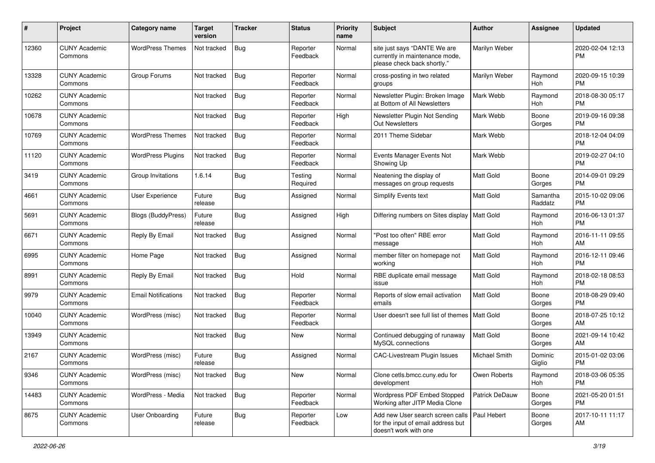| #     | Project                         | <b>Category name</b>       | <b>Target</b><br>version | <b>Tracker</b> | <b>Status</b>        | <b>Priority</b><br>name | <b>Subject</b>                                                                                                | <b>Author</b>    | <b>Assignee</b>     | <b>Updated</b>                |
|-------|---------------------------------|----------------------------|--------------------------|----------------|----------------------|-------------------------|---------------------------------------------------------------------------------------------------------------|------------------|---------------------|-------------------------------|
| 12360 | <b>CUNY Academic</b><br>Commons | <b>WordPress Themes</b>    | Not tracked              | <b>Bug</b>     | Reporter<br>Feedback | Normal                  | site just says "DANTE We are<br>currently in maintenance mode,<br>please check back shortly."                 | Marilyn Weber    |                     | 2020-02-04 12:13<br><b>PM</b> |
| 13328 | <b>CUNY Academic</b><br>Commons | Group Forums               | Not tracked              | <b>Bug</b>     | Reporter<br>Feedback | Normal                  | cross-posting in two related<br>groups                                                                        | Marilyn Weber    | Raymond<br>Hoh      | 2020-09-15 10:39<br><b>PM</b> |
| 10262 | <b>CUNY Academic</b><br>Commons |                            | Not tracked              | <b>Bug</b>     | Reporter<br>Feedback | Normal                  | Newsletter Plugin: Broken Image<br>at Bottom of All Newsletters                                               | Mark Webb        | Raymond<br>Hoh      | 2018-08-30 05:17<br><b>PM</b> |
| 10678 | <b>CUNY Academic</b><br>Commons |                            | Not tracked              | Bug            | Reporter<br>Feedback | High                    | Newsletter Plugin Not Sending<br>Out Newsletters                                                              | Mark Webb        | Boone<br>Gorges     | 2019-09-16 09:38<br><b>PM</b> |
| 10769 | <b>CUNY Academic</b><br>Commons | <b>WordPress Themes</b>    | Not tracked              | Bug            | Reporter<br>Feedback | Normal                  | 2011 Theme Sidebar                                                                                            | Mark Webb        |                     | 2018-12-04 04:09<br><b>PM</b> |
| 11120 | <b>CUNY Academic</b><br>Commons | <b>WordPress Plugins</b>   | Not tracked              | <b>Bug</b>     | Reporter<br>Feedback | Normal                  | Events Manager Events Not<br>Showing Up                                                                       | Mark Webb        |                     | 2019-02-27 04:10<br><b>PM</b> |
| 3419  | <b>CUNY Academic</b><br>Commons | Group Invitations          | 1.6.14                   | <b>Bug</b>     | Testing<br>Required  | Normal                  | Neatening the display of<br>messages on group requests                                                        | <b>Matt Gold</b> | Boone<br>Gorges     | 2014-09-01 09:29<br><b>PM</b> |
| 4661  | <b>CUNY Academic</b><br>Commons | <b>User Experience</b>     | Future<br>release        | Bug            | Assigned             | Normal                  | <b>Simplify Events text</b>                                                                                   | <b>Matt Gold</b> | Samantha<br>Raddatz | 2015-10-02 09:06<br><b>PM</b> |
| 5691  | <b>CUNY Academic</b><br>Commons | <b>Blogs (BuddyPress)</b>  | Future<br>release        | Bug            | Assigned             | High                    | Differing numbers on Sites display                                                                            | <b>Matt Gold</b> | Raymond<br>Hoh      | 2016-06-13 01:37<br><b>PM</b> |
| 6671  | <b>CUNY Academic</b><br>Commons | Reply By Email             | Not tracked              | <b>Bug</b>     | Assigned             | Normal                  | "Post too often" RBE error<br>message                                                                         | <b>Matt Gold</b> | Raymond<br>Hoh      | 2016-11-11 09:55<br>AM        |
| 6995  | <b>CUNY Academic</b><br>Commons | Home Page                  | Not tracked              | Bug            | Assigned             | Normal                  | member filter on homepage not<br>working                                                                      | <b>Matt Gold</b> | Raymond<br>Hoh      | 2016-12-11 09:46<br><b>PM</b> |
| 8991  | <b>CUNY Academic</b><br>Commons | Reply By Email             | Not tracked              | Bug            | Hold                 | Normal                  | RBE duplicate email message<br>issue                                                                          | Matt Gold        | Raymond<br>Hoh      | 2018-02-18 08:53<br><b>PM</b> |
| 9979  | <b>CUNY Academic</b><br>Commons | <b>Email Notifications</b> | Not tracked              | <b>Bug</b>     | Reporter<br>Feedback | Normal                  | Reports of slow email activation<br>emails                                                                    | <b>Matt Gold</b> | Boone<br>Gorges     | 2018-08-29 09:40<br><b>PM</b> |
| 10040 | <b>CUNY Academic</b><br>Commons | WordPress (misc)           | Not tracked              | <b>Bug</b>     | Reporter<br>Feedback | Normal                  | User doesn't see full list of themes   Matt Gold                                                              |                  | Boone<br>Gorges     | 2018-07-25 10:12<br>AM        |
| 13949 | <b>CUNY Academic</b><br>Commons |                            | Not tracked              | Bug            | <b>New</b>           | Normal                  | Continued debugging of runaway<br>MySQL connections                                                           | Matt Gold        | Boone<br>Gorges     | 2021-09-14 10:42<br>AM        |
| 2167  | <b>CUNY Academic</b><br>Commons | WordPress (misc)           | Future<br>release        | <b>Bug</b>     | Assigned             | Normal                  | CAC-Livestream Plugin Issues                                                                                  | Michael Smith    | Dominic<br>Giglio   | 2015-01-02 03:06<br><b>PM</b> |
| 9346  | <b>CUNY Academic</b><br>Commons | WordPress (misc)           | Not tracked              | Bug            | New                  | Normal                  | Clone cetls.bmcc.cuny.edu for<br>development                                                                  | Owen Roberts     | Raymond<br>Hoh      | 2018-03-06 05:35<br>PM        |
| 14483 | <b>CUNY Academic</b><br>Commons | WordPress - Media          | Not tracked              | <b>Bug</b>     | Reporter<br>Feedback | Normal                  | Wordpress PDF Embed Stopped<br>Working after JITP Media Clone                                                 | Patrick DeDauw   | Boone<br>Gorges     | 2021-05-20 01:51<br>PM        |
| 8675  | <b>CUNY Academic</b><br>Commons | User Onboarding            | Future<br>release        | Bug            | Reporter<br>Feedback | Low                     | Add new User search screen calls   Paul Hebert<br>for the input of email address but<br>doesn't work with one |                  | Boone<br>Gorges     | 2017-10-11 11:17<br>AM        |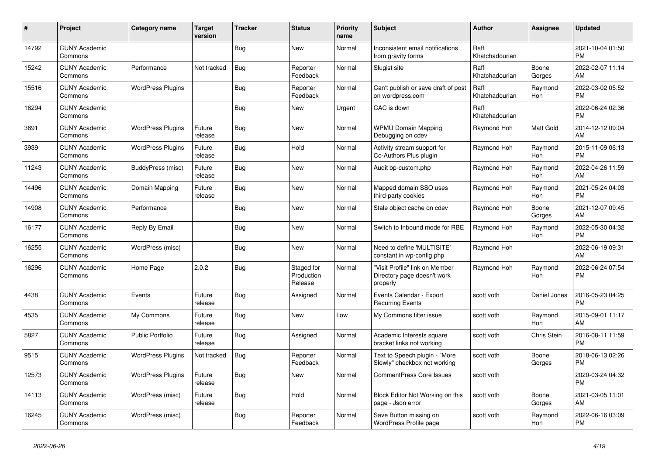| #     | Project                         | <b>Category name</b>     | <b>Target</b><br>version | <b>Tracker</b> | <b>Status</b>                       | <b>Priority</b><br>name | <b>Subject</b>                                                            | <b>Author</b>           | <b>Assignee</b>       | <b>Updated</b>                |
|-------|---------------------------------|--------------------------|--------------------------|----------------|-------------------------------------|-------------------------|---------------------------------------------------------------------------|-------------------------|-----------------------|-------------------------------|
| 14792 | <b>CUNY Academic</b><br>Commons |                          |                          | <b>Bug</b>     | <b>New</b>                          | Normal                  | Inconsistent email notifications<br>from gravity forms                    | Raffi<br>Khatchadourian |                       | 2021-10-04 01:50<br><b>PM</b> |
| 15242 | <b>CUNY Academic</b><br>Commons | Performance              | Not tracked              | <b>Bug</b>     | Reporter<br>Feedback                | Normal                  | Slugist site                                                              | Raffi<br>Khatchadourian | Boone<br>Gorges       | 2022-02-07 11:14<br>AM        |
| 15516 | <b>CUNY Academic</b><br>Commons | <b>WordPress Plugins</b> |                          | <b>Bug</b>     | Reporter<br>Feedback                | Normal                  | Can't publish or save draft of post<br>on wordpress.com                   | Raffi<br>Khatchadourian | Raymond<br>Hoh        | 2022-03-02 05:52<br><b>PM</b> |
| 16294 | <b>CUNY Academic</b><br>Commons |                          |                          | <b>Bug</b>     | New                                 | Urgent                  | CAC is down                                                               | Raffi<br>Khatchadourian |                       | 2022-06-24 02:36<br><b>PM</b> |
| 3691  | <b>CUNY Academic</b><br>Commons | <b>WordPress Plugins</b> | Future<br>release        | Bug            | New                                 | Normal                  | <b>WPMU Domain Mapping</b><br>Debugging on cdev                           | Raymond Hoh             | Matt Gold             | 2014-12-12 09:04<br>AM        |
| 3939  | <b>CUNY Academic</b><br>Commons | <b>WordPress Plugins</b> | Future<br>release        | Bug            | Hold                                | Normal                  | Activity stream support for<br>Co-Authors Plus plugin                     | Raymond Hoh             | Raymond<br><b>Hoh</b> | 2015-11-09 06:13<br><b>PM</b> |
| 11243 | <b>CUNY Academic</b><br>Commons | BuddyPress (misc)        | Future<br>release        | <b>Bug</b>     | New                                 | Normal                  | Audit bp-custom.php                                                       | Raymond Hoh             | Raymond<br>Hoh        | 2022-04-26 11:59<br>AM        |
| 14496 | <b>CUNY Academic</b><br>Commons | Domain Mapping           | Future<br>release        | Bug            | <b>New</b>                          | Normal                  | Mapped domain SSO uses<br>third-party cookies                             | Raymond Hoh             | Raymond<br>Hoh        | 2021-05-24 04:03<br><b>PM</b> |
| 14908 | <b>CUNY Academic</b><br>Commons | Performance              |                          | <b>Bug</b>     | New                                 | Normal                  | Stale object cache on cdev                                                | Raymond Hoh             | Boone<br>Gorges       | 2021-12-07 09:45<br>AM        |
| 16177 | <b>CUNY Academic</b><br>Commons | Reply By Email           |                          | <b>Bug</b>     | <b>New</b>                          | Normal                  | Switch to Inbound mode for RBE                                            | Raymond Hoh             | Raymond<br>Hoh        | 2022-05-30 04:32<br><b>PM</b> |
| 16255 | <b>CUNY Academic</b><br>Commons | WordPress (misc)         |                          | Bug            | New                                 | Normal                  | Need to define 'MULTISITE'<br>constant in wp-config.php                   | Raymond Hoh             |                       | 2022-06-19 09:31<br>AM        |
| 16296 | <b>CUNY Academic</b><br>Commons | Home Page                | 2.0.2                    | <b>Bug</b>     | Staged for<br>Production<br>Release | Normal                  | "Visit Profile" link on Member<br>Directory page doesn't work<br>properly | Raymond Hoh             | Raymond<br><b>Hoh</b> | 2022-06-24 07:54<br><b>PM</b> |
| 4438  | <b>CUNY Academic</b><br>Commons | Events                   | Future<br>release        | Bug            | Assigned                            | Normal                  | Events Calendar - Export<br><b>Recurring Events</b>                       | scott voth              | Daniel Jones          | 2016-05-23 04:25<br><b>PM</b> |
| 4535  | <b>CUNY Academic</b><br>Commons | My Commons               | Future<br>release        | <b>Bug</b>     | New                                 | Low                     | My Commons filter issue                                                   | scott voth              | Raymond<br><b>Hoh</b> | 2015-09-01 11:17<br>AM        |
| 5827  | <b>CUNY Academic</b><br>Commons | <b>Public Portfolio</b>  | Future<br>release        | <b>Bug</b>     | Assigned                            | Normal                  | Academic Interests square<br>bracket links not working                    | scott voth              | Chris Stein           | 2016-08-11 11:59<br><b>PM</b> |
| 9515  | <b>CUNY Academic</b><br>Commons | <b>WordPress Plugins</b> | Not tracked              | <b>Bug</b>     | Reporter<br>Feedback                | Normal                  | Text to Speech plugin - "More<br>Slowly" checkbox not working             | scott voth              | Boone<br>Gorges       | 2018-06-13 02:26<br><b>PM</b> |
| 12573 | <b>CUNY Academic</b><br>Commons | <b>WordPress Plugins</b> | Future<br>release        | <b>Bug</b>     | New                                 | Normal                  | <b>CommentPress Core Issues</b>                                           | scott voth              |                       | 2020-03-24 04:32<br><b>PM</b> |
| 14113 | <b>CUNY Academic</b><br>Commons | WordPress (misc)         | Future<br>release        | <b>Bug</b>     | Hold                                | Normal                  | Block Editor Not Working on this<br>page - Json error                     | scott voth              | Boone<br>Gorges       | 2021-03-05 11:01<br>AM        |
| 16245 | <b>CUNY Academic</b><br>Commons | WordPress (misc)         |                          | <b>Bug</b>     | Reporter<br>Feedback                | Normal                  | Save Button missing on<br>WordPress Profile page                          | scott voth              | Raymond<br>Hoh        | 2022-06-16 03:09<br><b>PM</b> |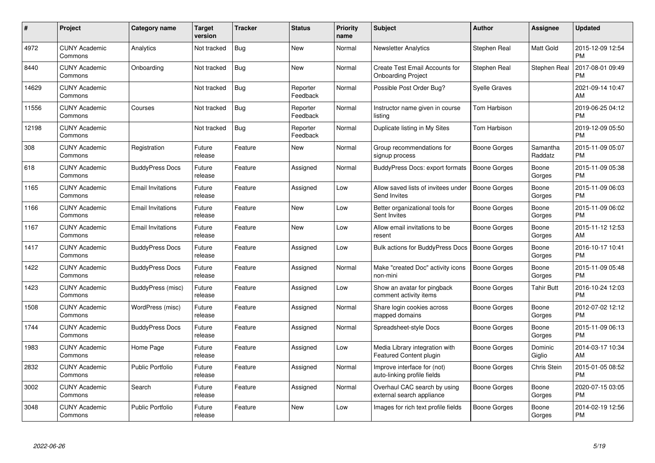| #     | Project                         | <b>Category name</b>     | Target<br>version | <b>Tracker</b> | <b>Status</b>        | <b>Priority</b><br>name | <b>Subject</b>                                                     | <b>Author</b>        | <b>Assignee</b>     | <b>Updated</b>                |
|-------|---------------------------------|--------------------------|-------------------|----------------|----------------------|-------------------------|--------------------------------------------------------------------|----------------------|---------------------|-------------------------------|
| 4972  | <b>CUNY Academic</b><br>Commons | Analytics                | Not tracked       | <b>Bug</b>     | <b>New</b>           | Normal                  | <b>Newsletter Analytics</b>                                        | Stephen Real         | Matt Gold           | 2015-12-09 12:54<br><b>PM</b> |
| 8440  | <b>CUNY Academic</b><br>Commons | Onboarding               | Not tracked       | Bug            | <b>New</b>           | Normal                  | <b>Create Test Email Accounts for</b><br><b>Onboarding Project</b> | Stephen Real         | Stephen Real        | 2017-08-01 09:49<br><b>PM</b> |
| 14629 | <b>CUNY Academic</b><br>Commons |                          | Not tracked       | <b>Bug</b>     | Reporter<br>Feedback | Normal                  | Possible Post Order Bug?                                           | <b>Syelle Graves</b> |                     | 2021-09-14 10:47<br>AM        |
| 11556 | <b>CUNY Academic</b><br>Commons | Courses                  | Not tracked       | <b>Bug</b>     | Reporter<br>Feedback | Normal                  | Instructor name given in course<br>listing                         | Tom Harbison         |                     | 2019-06-25 04:12<br><b>PM</b> |
| 12198 | <b>CUNY Academic</b><br>Commons |                          | Not tracked       | <b>Bug</b>     | Reporter<br>Feedback | Normal                  | Duplicate listing in My Sites                                      | Tom Harbison         |                     | 2019-12-09 05:50<br><b>PM</b> |
| 308   | <b>CUNY Academic</b><br>Commons | Registration             | Future<br>release | Feature        | <b>New</b>           | Normal                  | Group recommendations for<br>signup process                        | Boone Gorges         | Samantha<br>Raddatz | 2015-11-09 05:07<br><b>PM</b> |
| 618   | <b>CUNY Academic</b><br>Commons | <b>BuddyPress Docs</b>   | Future<br>release | Feature        | Assigned             | Normal                  | BuddyPress Docs: export formats                                    | <b>Boone Gorges</b>  | Boone<br>Gorges     | 2015-11-09 05:38<br><b>PM</b> |
| 1165  | <b>CUNY Academic</b><br>Commons | <b>Email Invitations</b> | Future<br>release | Feature        | Assigned             | Low                     | Allow saved lists of invitees under<br>Send Invites                | <b>Boone Gorges</b>  | Boone<br>Gorges     | 2015-11-09 06:03<br><b>PM</b> |
| 1166  | <b>CUNY Academic</b><br>Commons | <b>Email Invitations</b> | Future<br>release | Feature        | <b>New</b>           | Low                     | Better organizational tools for<br>Sent Invites                    | Boone Gorges         | Boone<br>Gorges     | 2015-11-09 06:02<br><b>PM</b> |
| 1167  | <b>CUNY Academic</b><br>Commons | <b>Email Invitations</b> | Future<br>release | Feature        | <b>New</b>           | Low                     | Allow email invitations to be<br>resent                            | Boone Gorges         | Boone<br>Gorges     | 2015-11-12 12:53<br>AM        |
| 1417  | <b>CUNY Academic</b><br>Commons | <b>BuddyPress Docs</b>   | Future<br>release | Feature        | Assigned             | Low                     | <b>Bulk actions for BuddyPress Docs</b>                            | Boone Gorges         | Boone<br>Gorges     | 2016-10-17 10:41<br><b>PM</b> |
| 1422  | <b>CUNY Academic</b><br>Commons | <b>BuddyPress Docs</b>   | Future<br>release | Feature        | Assigned             | Normal                  | Make "created Doc" activity icons<br>non-mini                      | Boone Gorges         | Boone<br>Gorges     | 2015-11-09 05:48<br><b>PM</b> |
| 1423  | <b>CUNY Academic</b><br>Commons | BuddyPress (misc)        | Future<br>release | Feature        | Assigned             | Low                     | Show an avatar for pingback<br>comment activity items              | Boone Gorges         | <b>Tahir Butt</b>   | 2016-10-24 12:03<br><b>PM</b> |
| 1508  | <b>CUNY Academic</b><br>Commons | WordPress (misc)         | Future<br>release | Feature        | Assigned             | Normal                  | Share login cookies across<br>mapped domains                       | Boone Gorges         | Boone<br>Gorges     | 2012-07-02 12:12<br><b>PM</b> |
| 1744  | <b>CUNY Academic</b><br>Commons | <b>BuddyPress Docs</b>   | Future<br>release | Feature        | Assigned             | Normal                  | Spreadsheet-style Docs                                             | Boone Gorges         | Boone<br>Gorges     | 2015-11-09 06:13<br><b>PM</b> |
| 1983  | <b>CUNY Academic</b><br>Commons | Home Page                | Future<br>release | Feature        | Assigned             | Low                     | Media Library integration with<br>Featured Content plugin          | Boone Gorges         | Dominic<br>Giglio   | 2014-03-17 10:34<br>AM        |
| 2832  | <b>CUNY Academic</b><br>Commons | <b>Public Portfolio</b>  | Future<br>release | Feature        | Assigned             | Normal                  | Improve interface for (not)<br>auto-linking profile fields         | Boone Gorges         | Chris Stein         | 2015-01-05 08:52<br><b>PM</b> |
| 3002  | <b>CUNY Academic</b><br>Commons | Search                   | Future<br>release | Feature        | Assigned             | Normal                  | Overhaul CAC search by using<br>external search appliance          | Boone Gorges         | Boone<br>Gorges     | 2020-07-15 03:05<br><b>PM</b> |
| 3048  | <b>CUNY Academic</b><br>Commons | <b>Public Portfolio</b>  | Future<br>release | Feature        | <b>New</b>           | Low                     | Images for rich text profile fields                                | Boone Gorges         | Boone<br>Gorges     | 2014-02-19 12:56<br>PM        |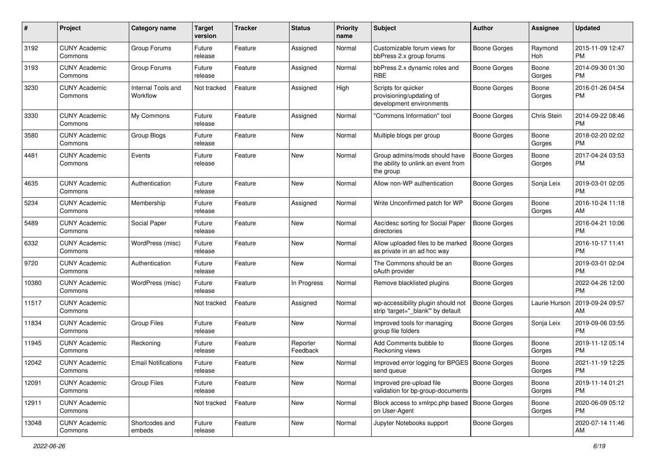| #     | Project                         | <b>Category name</b>           | <b>Target</b><br>version | <b>Tracker</b> | <b>Status</b>        | <b>Priority</b><br>name | <b>Subject</b>                                                                    | Author              | Assignee        | <b>Updated</b>                |
|-------|---------------------------------|--------------------------------|--------------------------|----------------|----------------------|-------------------------|-----------------------------------------------------------------------------------|---------------------|-----------------|-------------------------------|
| 3192  | <b>CUNY Academic</b><br>Commons | Group Forums                   | Future<br>release        | Feature        | Assigned             | Normal                  | Customizable forum views for<br>bbPress 2.x group forums                          | <b>Boone Gorges</b> | Raymond<br>Hoh  | 2015-11-09 12:47<br><b>PM</b> |
| 3193  | <b>CUNY Academic</b><br>Commons | Group Forums                   | Future<br>release        | Feature        | Assigned             | Normal                  | bbPress 2.x dynamic roles and<br><b>RBE</b>                                       | <b>Boone Gorges</b> | Boone<br>Gorges | 2014-09-30 01:30<br><b>PM</b> |
| 3230  | <b>CUNY Academic</b><br>Commons | Internal Tools and<br>Workflow | Not tracked              | Feature        | Assigned             | High                    | Scripts for quicker<br>provisioning/updating of<br>development environments       | <b>Boone Gorges</b> | Boone<br>Gorges | 2016-01-26 04:54<br><b>PM</b> |
| 3330  | <b>CUNY Academic</b><br>Commons | My Commons                     | Future<br>release        | Feature        | Assigned             | Normal                  | 'Commons Information" tool                                                        | <b>Boone Gorges</b> | Chris Stein     | 2014-09-22 08:46<br><b>PM</b> |
| 3580  | <b>CUNY Academic</b><br>Commons | Group Blogs                    | Future<br>release        | Feature        | New                  | Normal                  | Multiple blogs per group                                                          | Boone Gorges        | Boone<br>Gorges | 2018-02-20 02:02<br><b>PM</b> |
| 4481  | <b>CUNY Academic</b><br>Commons | Events                         | Future<br>release        | Feature        | <b>New</b>           | Normal                  | Group admins/mods should have<br>the ability to unlink an event from<br>the group | Boone Gorges        | Boone<br>Gorges | 2017-04-24 03:53<br><b>PM</b> |
| 4635  | <b>CUNY Academic</b><br>Commons | Authentication                 | Future<br>release        | Feature        | <b>New</b>           | Normal                  | Allow non-WP authentication                                                       | <b>Boone Gorges</b> | Sonja Leix      | 2019-03-01 02:05<br><b>PM</b> |
| 5234  | <b>CUNY Academic</b><br>Commons | Membership                     | Future<br>release        | Feature        | Assigned             | Normal                  | Write Unconfirmed patch for WP                                                    | <b>Boone Gorges</b> | Boone<br>Gorges | 2016-10-24 11:18<br>AM        |
| 5489  | <b>CUNY Academic</b><br>Commons | Social Paper                   | Future<br>release        | Feature        | New                  | Normal                  | Asc/desc sorting for Social Paper<br>directories                                  | <b>Boone Gorges</b> |                 | 2016-04-21 10:06<br><b>PM</b> |
| 6332  | <b>CUNY Academic</b><br>Commons | WordPress (misc)               | Future<br>release        | Feature        | <b>New</b>           | Normal                  | Allow uploaded files to be marked<br>as private in an ad hoc way                  | <b>Boone Gorges</b> |                 | 2016-10-17 11:41<br><b>PM</b> |
| 9720  | <b>CUNY Academic</b><br>Commons | Authentication                 | Future<br>release        | Feature        | New                  | Normal                  | The Commons should be an<br>oAuth provider                                        | <b>Boone Gorges</b> |                 | 2019-03-01 02:04<br><b>PM</b> |
| 10380 | <b>CUNY Academic</b><br>Commons | WordPress (misc)               | Future<br>release        | Feature        | In Progress          | Normal                  | Remove blacklisted plugins                                                        | Boone Gorges        |                 | 2022-04-26 12:00<br><b>PM</b> |
| 11517 | <b>CUNY Academic</b><br>Commons |                                | Not tracked              | Feature        | Assigned             | Normal                  | wp-accessibility plugin should not<br>strip 'target="_blank" by default           | Boone Gorges        | Laurie Hurson   | 2019-09-24 09:57<br>AM        |
| 11834 | <b>CUNY Academic</b><br>Commons | <b>Group Files</b>             | Future<br>release        | Feature        | New                  | Normal                  | Improved tools for managing<br>group file folders                                 | <b>Boone Gorges</b> | Sonja Leix      | 2019-09-06 03:55<br><b>PM</b> |
| 11945 | <b>CUNY Academic</b><br>Commons | Reckoning                      | Future<br>release        | Feature        | Reporter<br>Feedback | Normal                  | Add Comments bubble to<br>Reckoning views                                         | <b>Boone Gorges</b> | Boone<br>Gorges | 2019-11-12 05:14<br><b>PM</b> |
| 12042 | <b>CUNY Academic</b><br>Commons | <b>Email Notifications</b>     | Future<br>release        | Feature        | New                  | Normal                  | Improved error logging for BPGES   Boone Gorges<br>send queue                     |                     | Boone<br>Gorges | 2021-11-19 12:25<br>PM        |
| 12091 | <b>CUNY Academic</b><br>Commons | Group Files                    | Future<br>release        | Feature        | New                  | Normal                  | Improved pre-upload file<br>validation for bp-group-documents                     | Boone Gorges        | Boone<br>Gorges | 2019-11-14 01:21<br><b>PM</b> |
| 12911 | <b>CUNY Academic</b><br>Commons |                                | Not tracked              | Feature        | New                  | Normal                  | Block access to xmlrpc.php based   Boone Gorges<br>on User-Agent                  |                     | Boone<br>Gorges | 2020-06-09 05:12<br><b>PM</b> |
| 13048 | <b>CUNY Academic</b><br>Commons | Shortcodes and<br>embeds       | Future<br>release        | Feature        | New                  | Normal                  | Jupyter Notebooks support                                                         | <b>Boone Gorges</b> |                 | 2020-07-14 11:46<br>AM        |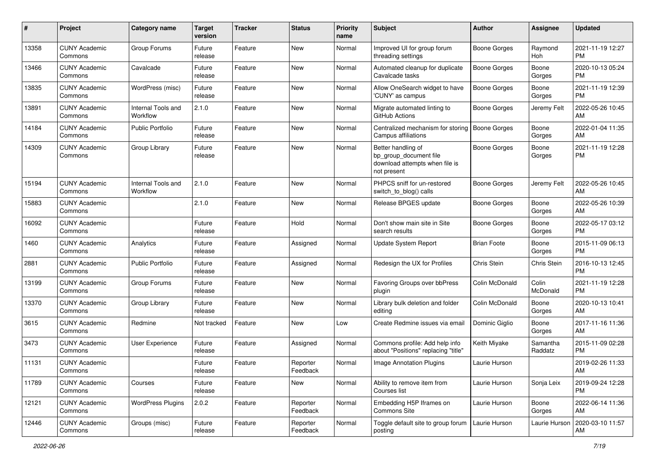| #     | Project                         | <b>Category name</b>           | <b>Target</b><br>version | <b>Tracker</b> | <b>Status</b>        | <b>Priority</b><br>name | <b>Subject</b>                                                                                | Author              | <b>Assignee</b>     | <b>Updated</b>                |
|-------|---------------------------------|--------------------------------|--------------------------|----------------|----------------------|-------------------------|-----------------------------------------------------------------------------------------------|---------------------|---------------------|-------------------------------|
| 13358 | <b>CUNY Academic</b><br>Commons | Group Forums                   | Future<br>release        | Feature        | <b>New</b>           | Normal                  | Improved UI for group forum<br>threading settings                                             | <b>Boone Gorges</b> | Raymond<br>Hoh      | 2021-11-19 12:27<br><b>PM</b> |
| 13466 | <b>CUNY Academic</b><br>Commons | Cavalcade                      | Future<br>release        | Feature        | <b>New</b>           | Normal                  | Automated cleanup for duplicate<br>Cavalcade tasks                                            | <b>Boone Gorges</b> | Boone<br>Gorges     | 2020-10-13 05:24<br><b>PM</b> |
| 13835 | <b>CUNY Academic</b><br>Commons | WordPress (misc)               | Future<br>release        | Feature        | <b>New</b>           | Normal                  | Allow OneSearch widget to have<br>'CUNY' as campus                                            | <b>Boone Gorges</b> | Boone<br>Gorges     | 2021-11-19 12:39<br><b>PM</b> |
| 13891 | <b>CUNY Academic</b><br>Commons | Internal Tools and<br>Workflow | 2.1.0                    | Feature        | <b>New</b>           | Normal                  | Migrate automated linting to<br>GitHub Actions                                                | Boone Gorges        | Jeremy Felt         | 2022-05-26 10:45<br>AM        |
| 14184 | <b>CUNY Academic</b><br>Commons | <b>Public Portfolio</b>        | Future<br>release        | Feature        | <b>New</b>           | Normal                  | Centralized mechanism for storing<br>Campus affiliations                                      | Boone Gorges        | Boone<br>Gorges     | 2022-01-04 11:35<br>AM        |
| 14309 | <b>CUNY Academic</b><br>Commons | Group Library                  | Future<br>release        | Feature        | <b>New</b>           | Normal                  | Better handling of<br>bp_group_document file<br>download attempts when file is<br>not present | <b>Boone Gorges</b> | Boone<br>Gorges     | 2021-11-19 12:28<br><b>PM</b> |
| 15194 | <b>CUNY Academic</b><br>Commons | Internal Tools and<br>Workflow | 2.1.0                    | Feature        | <b>New</b>           | Normal                  | PHPCS sniff for un-restored<br>switch_to_blog() calls                                         | <b>Boone Gorges</b> | Jeremy Felt         | 2022-05-26 10:45<br>AM        |
| 15883 | <b>CUNY Academic</b><br>Commons |                                | 2.1.0                    | Feature        | <b>New</b>           | Normal                  | Release BPGES update                                                                          | <b>Boone Gorges</b> | Boone<br>Gorges     | 2022-05-26 10:39<br>AM        |
| 16092 | <b>CUNY Academic</b><br>Commons |                                | Future<br>release        | Feature        | Hold                 | Normal                  | Don't show main site in Site<br>search results                                                | <b>Boone Gorges</b> | Boone<br>Gorges     | 2022-05-17 03:12<br><b>PM</b> |
| 1460  | <b>CUNY Academic</b><br>Commons | Analytics                      | Future<br>release        | Feature        | Assigned             | Normal                  | Update System Report                                                                          | <b>Brian Foote</b>  | Boone<br>Gorges     | 2015-11-09 06:13<br><b>PM</b> |
| 2881  | <b>CUNY Academic</b><br>Commons | <b>Public Portfolio</b>        | Future<br>release        | Feature        | Assigned             | Normal                  | Redesign the UX for Profiles                                                                  | Chris Stein         | Chris Stein         | 2016-10-13 12:45<br><b>PM</b> |
| 13199 | <b>CUNY Academic</b><br>Commons | Group Forums                   | Future<br>release        | Feature        | <b>New</b>           | Normal                  | Favoring Groups over bbPress<br>plugin                                                        | Colin McDonald      | Colin<br>McDonald   | 2021-11-19 12:28<br><b>PM</b> |
| 13370 | <b>CUNY Academic</b><br>Commons | Group Library                  | Future<br>release        | Feature        | New                  | Normal                  | Library bulk deletion and folder<br>editing                                                   | Colin McDonald      | Boone<br>Gorges     | 2020-10-13 10:41<br>AM        |
| 3615  | <b>CUNY Academic</b><br>Commons | Redmine                        | Not tracked              | Feature        | <b>New</b>           | Low                     | Create Redmine issues via emai                                                                | Dominic Giglio      | Boone<br>Gorges     | 2017-11-16 11:36<br>AM        |
| 3473  | <b>CUNY Academic</b><br>Commons | User Experience                | Future<br>release        | Feature        | Assigned             | Normal                  | Commons profile: Add help info<br>about "Positions" replacing "title"                         | Keith Miyake        | Samantha<br>Raddatz | 2015-11-09 02:28<br><b>PM</b> |
| 11131 | <b>CUNY Academic</b><br>Commons |                                | Future<br>release        | Feature        | Reporter<br>Feedback | Normal                  | Image Annotation Plugins                                                                      | Laurie Hurson       |                     | 2019-02-26 11:33<br>AM        |
| 11789 | <b>CUNY Academic</b><br>Commons | Courses                        | Future<br>release        | Feature        | New                  | Normal                  | Ability to remove item from<br>Courses list                                                   | Laurie Hurson       | Sonja Leix          | 2019-09-24 12:28<br><b>PM</b> |
| 12121 | <b>CUNY Academic</b><br>Commons | <b>WordPress Plugins</b>       | 2.0.2                    | Feature        | Reporter<br>Feedback | Normal                  | Embedding H5P Iframes on<br><b>Commons Site</b>                                               | Laurie Hurson       | Boone<br>Gorges     | 2022-06-14 11:36<br>AM        |
| 12446 | <b>CUNY Academic</b><br>Commons | Groups (misc)                  | Future<br>release        | Feature        | Reporter<br>Feedback | Normal                  | Toggle default site to group forum<br>posting                                                 | Laurie Hurson       | Laurie Hurson       | 2020-03-10 11:57<br>AM        |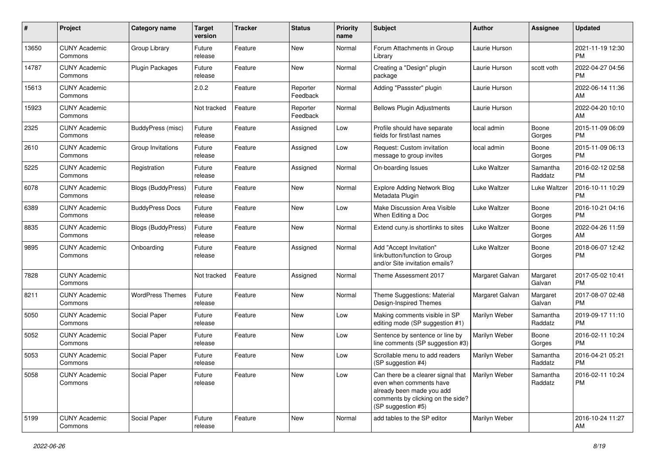| #     | Project                         | <b>Category name</b>      | <b>Target</b><br>version | <b>Tracker</b> | <b>Status</b>        | <b>Priority</b><br>name | <b>Subject</b>                                                                                                                                                        | Author          | Assignee            | <b>Updated</b>                |
|-------|---------------------------------|---------------------------|--------------------------|----------------|----------------------|-------------------------|-----------------------------------------------------------------------------------------------------------------------------------------------------------------------|-----------------|---------------------|-------------------------------|
| 13650 | <b>CUNY Academic</b><br>Commons | Group Library             | Future<br>release        | Feature        | <b>New</b>           | Normal                  | Forum Attachments in Group<br>Library                                                                                                                                 | Laurie Hurson   |                     | 2021-11-19 12:30<br><b>PM</b> |
| 14787 | <b>CUNY Academic</b><br>Commons | <b>Plugin Packages</b>    | Future<br>release        | Feature        | <b>New</b>           | Normal                  | Creating a "Design" plugin<br>package                                                                                                                                 | Laurie Hurson   | scott voth          | 2022-04-27 04:56<br><b>PM</b> |
| 15613 | <b>CUNY Academic</b><br>Commons |                           | 2.0.2                    | Feature        | Reporter<br>Feedback | Normal                  | Adding "Passster" plugin                                                                                                                                              | Laurie Hurson   |                     | 2022-06-14 11:36<br>AM        |
| 15923 | <b>CUNY Academic</b><br>Commons |                           | Not tracked              | Feature        | Reporter<br>Feedback | Normal                  | <b>Bellows Plugin Adjustments</b>                                                                                                                                     | Laurie Hurson   |                     | 2022-04-20 10:10<br>AM        |
| 2325  | <b>CUNY Academic</b><br>Commons | BuddyPress (misc)         | Future<br>release        | Feature        | Assigned             | Low                     | Profile should have separate<br>fields for first/last names                                                                                                           | local admin     | Boone<br>Gorges     | 2015-11-09 06:09<br><b>PM</b> |
| 2610  | <b>CUNY Academic</b><br>Commons | Group Invitations         | Future<br>release        | Feature        | Assigned             | Low                     | Request: Custom invitation<br>message to group invites                                                                                                                | local admin     | Boone<br>Gorges     | 2015-11-09 06:13<br><b>PM</b> |
| 5225  | <b>CUNY Academic</b><br>Commons | Registration              | Future<br>release        | Feature        | Assigned             | Normal                  | On-boarding Issues                                                                                                                                                    | Luke Waltzer    | Samantha<br>Raddatz | 2016-02-12 02:58<br><b>PM</b> |
| 6078  | <b>CUNY Academic</b><br>Commons | Blogs (BuddyPress)        | Future<br>release        | Feature        | <b>New</b>           | Normal                  | <b>Explore Adding Network Blog</b><br>Metadata Plugin                                                                                                                 | Luke Waltzer    | Luke Waltzer        | 2016-10-11 10:29<br><b>PM</b> |
| 6389  | <b>CUNY Academic</b><br>Commons | <b>BuddyPress Docs</b>    | Future<br>release        | Feature        | <b>New</b>           | Low                     | Make Discussion Area Visible<br>When Editing a Doc                                                                                                                    | Luke Waltzer    | Boone<br>Gorges     | 2016-10-21 04:16<br><b>PM</b> |
| 8835  | <b>CUNY Academic</b><br>Commons | <b>Blogs (BuddyPress)</b> | Future<br>release        | Feature        | <b>New</b>           | Normal                  | Extend cuny.is shortlinks to sites                                                                                                                                    | Luke Waltzer    | Boone<br>Gorges     | 2022-04-26 11:59<br>AM        |
| 9895  | <b>CUNY Academic</b><br>Commons | Onboarding                | Future<br>release        | Feature        | Assigned             | Normal                  | Add "Accept Invitation"<br>link/button/function to Group<br>and/or Site invitation emails?                                                                            | Luke Waltzer    | Boone<br>Gorges     | 2018-06-07 12:42<br><b>PM</b> |
| 7828  | <b>CUNY Academic</b><br>Commons |                           | Not tracked              | Feature        | Assigned             | Normal                  | Theme Assessment 2017                                                                                                                                                 | Margaret Galvan | Margaret<br>Galvan  | 2017-05-02 10:41<br><b>PM</b> |
| 8211  | <b>CUNY Academic</b><br>Commons | <b>WordPress Themes</b>   | Future<br>release        | Feature        | <b>New</b>           | Normal                  | Theme Suggestions: Material<br>Design-Inspired Themes                                                                                                                 | Margaret Galvan | Margaret<br>Galvan  | 2017-08-07 02:48<br><b>PM</b> |
| 5050  | <b>CUNY Academic</b><br>Commons | Social Paper              | Future<br>release        | Feature        | <b>New</b>           | Low                     | Making comments visible in SP<br>editing mode (SP suggestion #1)                                                                                                      | Marilyn Weber   | Samantha<br>Raddatz | 2019-09-17 11:10<br><b>PM</b> |
| 5052  | <b>CUNY Academic</b><br>Commons | Social Paper              | Future<br>release        | Feature        | <b>New</b>           | Low                     | Sentence by sentence or line by<br>line comments (SP suggestion #3)                                                                                                   | Marilyn Weber   | Boone<br>Gorges     | 2016-02-11 10:24<br><b>PM</b> |
| 5053  | <b>CUNY Academic</b><br>Commons | Social Paper              | Future<br>release        | Feature        | <b>New</b>           | Low                     | Scrollable menu to add readers<br>(SP suggestion #4)                                                                                                                  | Marilyn Weber   | Samantha<br>Raddatz | 2016-04-21 05:21<br><b>PM</b> |
| 5058  | <b>CUNY Academic</b><br>Commons | Social Paper              | Future<br>release        | Feature        | New                  | Low                     | Can there be a clearer signal that   Marilyn Weber<br>even when comments have<br>already been made you add<br>comments by clicking on the side?<br>(SP suggestion #5) |                 | Samantha<br>Raddatz | 2016-02-11 10:24<br>PM        |
| 5199  | <b>CUNY Academic</b><br>Commons | Social Paper              | Future<br>release        | Feature        | New                  | Normal                  | add tables to the SP editor                                                                                                                                           | Marilyn Weber   |                     | 2016-10-24 11:27<br>AM        |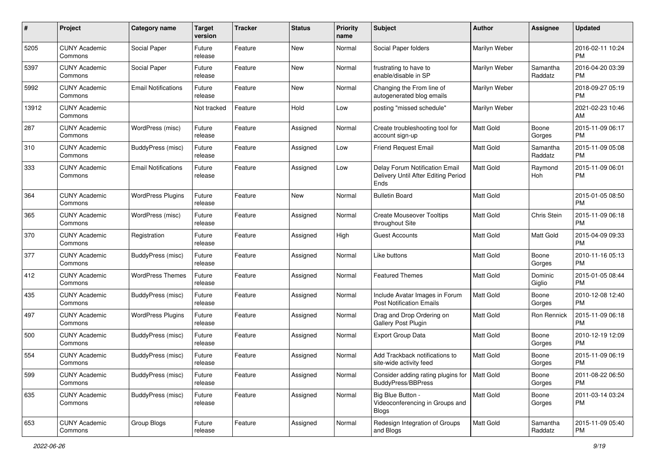| #     | Project                         | <b>Category name</b>       | <b>Target</b><br>version | <b>Tracker</b> | <b>Status</b> | <b>Priority</b><br>name | Subject                                                                       | Author           | <b>Assignee</b>     | <b>Updated</b>                |
|-------|---------------------------------|----------------------------|--------------------------|----------------|---------------|-------------------------|-------------------------------------------------------------------------------|------------------|---------------------|-------------------------------|
| 5205  | <b>CUNY Academic</b><br>Commons | Social Paper               | Future<br>release        | Feature        | <b>New</b>    | Normal                  | Social Paper folders                                                          | Marilyn Weber    |                     | 2016-02-11 10:24<br><b>PM</b> |
| 5397  | <b>CUNY Academic</b><br>Commons | Social Paper               | Future<br>release        | Feature        | New           | Normal                  | frustrating to have to<br>enable/disable in SP                                | Marilyn Weber    | Samantha<br>Raddatz | 2016-04-20 03:39<br><b>PM</b> |
| 5992  | <b>CUNY Academic</b><br>Commons | <b>Email Notifications</b> | Future<br>release        | Feature        | New           | Normal                  | Changing the From line of<br>autogenerated blog emails                        | Marilyn Weber    |                     | 2018-09-27 05:19<br><b>PM</b> |
| 13912 | <b>CUNY Academic</b><br>Commons |                            | Not tracked              | Feature        | Hold          | Low                     | posting "missed schedule"                                                     | Marilyn Weber    |                     | 2021-02-23 10:46<br>AM        |
| 287   | <b>CUNY Academic</b><br>Commons | WordPress (misc)           | Future<br>release        | Feature        | Assigned      | Normal                  | Create troubleshooting tool for<br>account sign-up                            | <b>Matt Gold</b> | Boone<br>Gorges     | 2015-11-09 06:17<br><b>PM</b> |
| 310   | <b>CUNY Academic</b><br>Commons | BuddyPress (misc)          | Future<br>release        | Feature        | Assigned      | Low                     | <b>Friend Request Email</b>                                                   | <b>Matt Gold</b> | Samantha<br>Raddatz | 2015-11-09 05:08<br><b>PM</b> |
| 333   | <b>CUNY Academic</b><br>Commons | <b>Email Notifications</b> | Future<br>release        | Feature        | Assigned      | Low                     | Delay Forum Notification Email<br>Delivery Until After Editing Period<br>Ends | <b>Matt Gold</b> | Raymond<br>Hoh      | 2015-11-09 06:01<br><b>PM</b> |
| 364   | <b>CUNY Academic</b><br>Commons | <b>WordPress Plugins</b>   | Future<br>release        | Feature        | <b>New</b>    | Normal                  | <b>Bulletin Board</b>                                                         | <b>Matt Gold</b> |                     | 2015-01-05 08:50<br><b>PM</b> |
| 365   | <b>CUNY Academic</b><br>Commons | WordPress (misc)           | Future<br>release        | Feature        | Assigned      | Normal                  | <b>Create Mouseover Tooltips</b><br>throughout Site                           | <b>Matt Gold</b> | Chris Stein         | 2015-11-09 06:18<br><b>PM</b> |
| 370   | <b>CUNY Academic</b><br>Commons | Registration               | Future<br>release        | Feature        | Assigned      | High                    | <b>Guest Accounts</b>                                                         | <b>Matt Gold</b> | <b>Matt Gold</b>    | 2015-04-09 09:33<br><b>PM</b> |
| 377   | <b>CUNY Academic</b><br>Commons | BuddyPress (misc)          | Future<br>release        | Feature        | Assigned      | Normal                  | Like buttons                                                                  | Matt Gold        | Boone<br>Gorges     | 2010-11-16 05:13<br><b>PM</b> |
| 412   | CUNY Academic<br>Commons        | <b>WordPress Themes</b>    | Future<br>release        | Feature        | Assigned      | Normal                  | <b>Featured Themes</b>                                                        | <b>Matt Gold</b> | Dominic<br>Giglio   | 2015-01-05 08:44<br><b>PM</b> |
| 435   | <b>CUNY Academic</b><br>Commons | BuddyPress (misc)          | Future<br>release        | Feature        | Assigned      | Normal                  | Include Avatar Images in Forum<br><b>Post Notification Emails</b>             | <b>Matt Gold</b> | Boone<br>Gorges     | 2010-12-08 12:40<br><b>PM</b> |
| 497   | <b>CUNY Academic</b><br>Commons | <b>WordPress Plugins</b>   | Future<br>release        | Feature        | Assigned      | Normal                  | Drag and Drop Ordering on<br>Gallery Post Plugin                              | <b>Matt Gold</b> | Ron Rennick         | 2015-11-09 06:18<br><b>PM</b> |
| 500   | <b>CUNY Academic</b><br>Commons | BuddyPress (misc)          | Future<br>release        | Feature        | Assigned      | Normal                  | <b>Export Group Data</b>                                                      | Matt Gold        | Boone<br>Gorges     | 2010-12-19 12:09<br><b>PM</b> |
| 554   | <b>CUNY Academic</b><br>Commons | BuddyPress (misc)          | Future<br>release        | Feature        | Assigned      | Normal                  | Add Trackback notifications to<br>site-wide activity feed                     | <b>Matt Gold</b> | Boone<br>Gorges     | 2015-11-09 06:19<br><b>PM</b> |
| 599   | <b>CUNY Academic</b><br>Commons | BuddyPress (misc)          | Future<br>release        | Feature        | Assigned      | Normal                  | Consider adding rating plugins for   Matt Gold<br><b>BuddyPress/BBPress</b>   |                  | Boone<br>Gorges     | 2011-08-22 06:50<br>PM        |
| 635   | <b>CUNY Academic</b><br>Commons | BuddyPress (misc)          | Future<br>release        | Feature        | Assigned      | Normal                  | Big Blue Button -<br>Videoconferencing in Groups and<br><b>Blogs</b>          | Matt Gold        | Boone<br>Gorges     | 2011-03-14 03:24<br>PM        |
| 653   | <b>CUNY Academic</b><br>Commons | Group Blogs                | Future<br>release        | Feature        | Assigned      | Normal                  | Redesign Integration of Groups<br>and Blogs                                   | Matt Gold        | Samantha<br>Raddatz | 2015-11-09 05:40<br>PM        |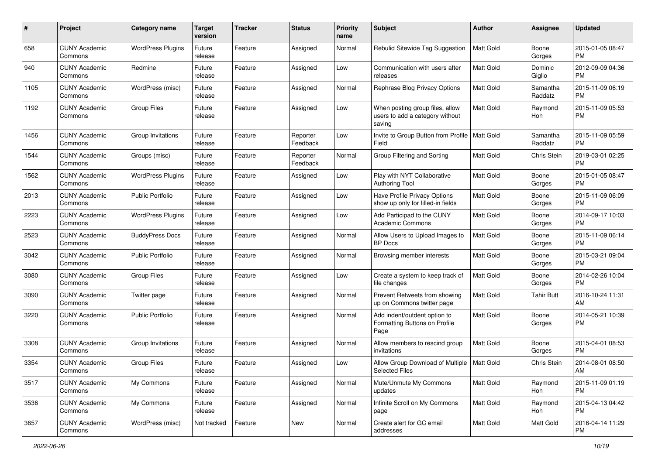| #    | Project                         | <b>Category name</b>     | <b>Target</b><br>version | <b>Tracker</b> | <b>Status</b>        | <b>Priority</b><br>name | Subject                                                                      | Author           | <b>Assignee</b>     | <b>Updated</b>                |
|------|---------------------------------|--------------------------|--------------------------|----------------|----------------------|-------------------------|------------------------------------------------------------------------------|------------------|---------------------|-------------------------------|
| 658  | <b>CUNY Academic</b><br>Commons | <b>WordPress Plugins</b> | Future<br>release        | Feature        | Assigned             | Normal                  | Rebulid Sitewide Tag Suggestion                                              | <b>Matt Gold</b> | Boone<br>Gorges     | 2015-01-05 08:47<br>PM        |
| 940  | <b>CUNY Academic</b><br>Commons | Redmine                  | Future<br>release        | Feature        | Assigned             | Low                     | Communication with users after<br>releases                                   | Matt Gold        | Dominic<br>Giglio   | 2012-09-09 04:36<br><b>PM</b> |
| 1105 | <b>CUNY Academic</b><br>Commons | WordPress (misc)         | Future<br>release        | Feature        | Assigned             | Normal                  | Rephrase Blog Privacy Options                                                | <b>Matt Gold</b> | Samantha<br>Raddatz | 2015-11-09 06:19<br><b>PM</b> |
| 1192 | <b>CUNY Academic</b><br>Commons | <b>Group Files</b>       | Future<br>release        | Feature        | Assigned             | Low                     | When posting group files, allow<br>users to add a category without<br>saving | Matt Gold        | Raymond<br>Hoh      | 2015-11-09 05:53<br>PM        |
| 1456 | <b>CUNY Academic</b><br>Commons | Group Invitations        | Future<br>release        | Feature        | Reporter<br>Feedback | Low                     | Invite to Group Button from Profile   Matt Gold<br>Field                     |                  | Samantha<br>Raddatz | 2015-11-09 05:59<br><b>PM</b> |
| 1544 | <b>CUNY Academic</b><br>Commons | Groups (misc)            | Future<br>release        | Feature        | Reporter<br>Feedback | Normal                  | Group Filtering and Sorting                                                  | Matt Gold        | Chris Stein         | 2019-03-01 02:25<br><b>PM</b> |
| 1562 | <b>CUNY Academic</b><br>Commons | <b>WordPress Plugins</b> | Future<br>release        | Feature        | Assigned             | Low                     | Play with NYT Collaborative<br><b>Authoring Tool</b>                         | Matt Gold        | Boone<br>Gorges     | 2015-01-05 08:47<br>PM        |
| 2013 | <b>CUNY Academic</b><br>Commons | <b>Public Portfolio</b>  | Future<br>release        | Feature        | Assigned             | Low                     | Have Profile Privacy Options<br>show up only for filled-in fields            | <b>Matt Gold</b> | Boone<br>Gorges     | 2015-11-09 06:09<br>PM        |
| 2223 | <b>CUNY Academic</b><br>Commons | <b>WordPress Plugins</b> | Future<br>release        | Feature        | Assigned             | Low                     | Add Participad to the CUNY<br><b>Academic Commons</b>                        | <b>Matt Gold</b> | Boone<br>Gorges     | 2014-09-17 10:03<br><b>PM</b> |
| 2523 | <b>CUNY Academic</b><br>Commons | <b>BuddyPress Docs</b>   | Future<br>release        | Feature        | Assigned             | Normal                  | Allow Users to Upload Images to<br><b>BP</b> Docs                            | Matt Gold        | Boone<br>Gorges     | 2015-11-09 06:14<br><b>PM</b> |
| 3042 | <b>CUNY Academic</b><br>Commons | <b>Public Portfolio</b>  | Future<br>release        | Feature        | Assigned             | Normal                  | Browsing member interests                                                    | Matt Gold        | Boone<br>Gorges     | 2015-03-21 09:04<br><b>PM</b> |
| 3080 | <b>CUNY Academic</b><br>Commons | Group Files              | Future<br>release        | Feature        | Assigned             | Low                     | Create a system to keep track of<br>file changes                             | Matt Gold        | Boone<br>Gorges     | 2014-02-26 10:04<br><b>PM</b> |
| 3090 | <b>CUNY Academic</b><br>Commons | Twitter page             | Future<br>release        | Feature        | Assigned             | Normal                  | Prevent Retweets from showing<br>up on Commons twitter page                  | <b>Matt Gold</b> | Tahir Butt          | 2016-10-24 11:31<br>AM        |
| 3220 | <b>CUNY Academic</b><br>Commons | <b>Public Portfolio</b>  | Future<br>release        | Feature        | Assigned             | Normal                  | Add indent/outdent option to<br>Formatting Buttons on Profile<br>Page        | Matt Gold        | Boone<br>Gorges     | 2014-05-21 10:39<br>PM        |
| 3308 | <b>CUNY Academic</b><br>Commons | Group Invitations        | Future<br>release        | Feature        | Assigned             | Normal                  | Allow members to rescind group<br>invitations                                | Matt Gold        | Boone<br>Gorges     | 2015-04-01 08:53<br><b>PM</b> |
| 3354 | <b>CUNY Academic</b><br>Commons | <b>Group Files</b>       | Future<br>release        | Feature        | Assigned             | Low                     | Allow Group Download of Multiple   Matt Gold<br>Selected Files               |                  | Chris Stein         | 2014-08-01 08:50<br>  AM      |
| 3517 | <b>CUNY Academic</b><br>Commons | My Commons               | Future<br>release        | Feature        | Assigned             | Normal                  | Mute/Unmute My Commons<br>updates                                            | Matt Gold        | Raymond<br>Hoh      | 2015-11-09 01:19<br>PM        |
| 3536 | <b>CUNY Academic</b><br>Commons | My Commons               | Future<br>release        | Feature        | Assigned             | Normal                  | Infinite Scroll on My Commons<br>page                                        | Matt Gold        | Raymond<br>Hoh      | 2015-04-13 04:42<br><b>PM</b> |
| 3657 | <b>CUNY Academic</b><br>Commons | WordPress (misc)         | Not tracked              | Feature        | New                  | Normal                  | Create alert for GC email<br>addresses                                       | Matt Gold        | Matt Gold           | 2016-04-14 11:29<br>PM        |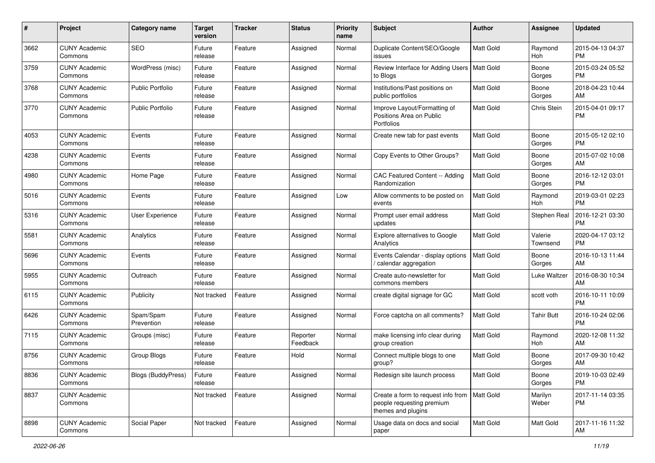| #    | Project                         | <b>Category name</b>    | <b>Target</b><br>version | <b>Tracker</b> | <b>Status</b>        | <b>Priority</b><br>name | <b>Subject</b>                                                                                    | Author           | Assignee            | <b>Updated</b>                |
|------|---------------------------------|-------------------------|--------------------------|----------------|----------------------|-------------------------|---------------------------------------------------------------------------------------------------|------------------|---------------------|-------------------------------|
| 3662 | <b>CUNY Academic</b><br>Commons | <b>SEO</b>              | Future<br>release        | Feature        | Assigned             | Normal                  | Duplicate Content/SEO/Google<br>issues                                                            | <b>Matt Gold</b> | Raymond<br>Hoh      | 2015-04-13 04:37<br><b>PM</b> |
| 3759 | <b>CUNY Academic</b><br>Commons | WordPress (misc)        | Future<br>release        | Feature        | Assigned             | Normal                  | Review Interface for Adding Users<br>to Blogs                                                     | <b>Matt Gold</b> | Boone<br>Gorges     | 2015-03-24 05:52<br><b>PM</b> |
| 3768 | <b>CUNY Academic</b><br>Commons | <b>Public Portfolio</b> | Future<br>release        | Feature        | Assigned             | Normal                  | Institutions/Past positions on<br>public portfolios                                               | Matt Gold        | Boone<br>Gorges     | 2018-04-23 10:44<br>AM        |
| 3770 | <b>CUNY Academic</b><br>Commons | <b>Public Portfolio</b> | Future<br>release        | Feature        | Assigned             | Normal                  | Improve Layout/Formatting of<br>Positions Area on Public<br>Portfolios                            | Matt Gold        | Chris Stein         | 2015-04-01 09:17<br><b>PM</b> |
| 4053 | <b>CUNY Academic</b><br>Commons | Events                  | Future<br>release        | Feature        | Assigned             | Normal                  | Create new tab for past events                                                                    | <b>Matt Gold</b> | Boone<br>Gorges     | 2015-05-12 02:10<br><b>PM</b> |
| 4238 | <b>CUNY Academic</b><br>Commons | Events                  | Future<br>release        | Feature        | Assigned             | Normal                  | Copy Events to Other Groups?                                                                      | <b>Matt Gold</b> | Boone<br>Gorges     | 2015-07-02 10:08<br>AM        |
| 4980 | <b>CUNY Academic</b><br>Commons | Home Page               | Future<br>release        | Feature        | Assigned             | Normal                  | CAC Featured Content -- Adding<br>Randomization                                                   | <b>Matt Gold</b> | Boone<br>Gorges     | 2016-12-12 03:01<br><b>PM</b> |
| 5016 | <b>CUNY Academic</b><br>Commons | Events                  | Future<br>release        | Feature        | Assigned             | Low                     | Allow comments to be posted on<br>events                                                          | Matt Gold        | Raymond<br>Hoh      | 2019-03-01 02:23<br><b>PM</b> |
| 5316 | <b>CUNY Academic</b><br>Commons | User Experience         | Future<br>release        | Feature        | Assigned             | Normal                  | Prompt user email address<br>updates                                                              | <b>Matt Gold</b> | Stephen Real        | 2016-12-21 03:30<br>PM        |
| 5581 | <b>CUNY Academic</b><br>Commons | Analytics               | Future<br>release        | Feature        | Assigned             | Normal                  | <b>Explore alternatives to Google</b><br>Analytics                                                | Matt Gold        | Valerie<br>Townsend | 2020-04-17 03:12<br>PM        |
| 5696 | <b>CUNY Academic</b><br>Commons | Events                  | Future<br>release        | Feature        | Assigned             | Normal                  | Events Calendar - display options<br>calendar aggregation                                         | Matt Gold        | Boone<br>Gorges     | 2016-10-13 11:44<br>AM        |
| 5955 | <b>CUNY Academic</b><br>Commons | Outreach                | Future<br>release        | Feature        | Assigned             | Normal                  | Create auto-newsletter for<br>commons members                                                     | Matt Gold        | Luke Waltzer        | 2016-08-30 10:34<br>AM        |
| 6115 | <b>CUNY Academic</b><br>Commons | Publicity               | Not tracked              | Feature        | Assigned             | Normal                  | create digital signage for GC                                                                     | <b>Matt Gold</b> | scott voth          | 2016-10-11 10:09<br><b>PM</b> |
| 6426 | <b>CUNY Academic</b><br>Commons | Spam/Spam<br>Prevention | Future<br>release        | Feature        | Assigned             | Normal                  | Force captcha on all comments?                                                                    | <b>Matt Gold</b> | <b>Tahir Butt</b>   | 2016-10-24 02:06<br><b>PM</b> |
| 7115 | <b>CUNY Academic</b><br>Commons | Groups (misc)           | Future<br>release        | Feature        | Reporter<br>Feedback | Normal                  | make licensing info clear during<br>group creation                                                | Matt Gold        | Raymond<br>Hoh      | 2020-12-08 11:32<br>AM        |
| 8756 | <b>CUNY Academic</b><br>Commons | Group Blogs             | Future<br>release        | Feature        | Hold                 | Normal                  | Connect multiple blogs to one<br>group?                                                           | Matt Gold        | Boone<br>Gorges     | 2017-09-30 10:42<br>AM        |
| 8836 | <b>CUNY Academic</b><br>Commons | Blogs (BuddyPress)      | Future<br>release        | Feature        | Assigned             | Normal                  | Redesign site launch process                                                                      | Matt Gold        | Boone<br>Gorges     | 2019-10-03 02:49<br>PM        |
| 8837 | <b>CUNY Academic</b><br>Commons |                         | Not tracked              | Feature        | Assigned             | Normal                  | Create a form to request info from   Matt Gold<br>people requesting premium<br>themes and plugins |                  | Marilyn<br>Weber    | 2017-11-14 03:35<br>PM        |
| 8898 | <b>CUNY Academic</b><br>Commons | Social Paper            | Not tracked              | Feature        | Assigned             | Normal                  | Usage data on docs and social<br>paper                                                            | Matt Gold        | Matt Gold           | 2017-11-16 11:32<br>AM        |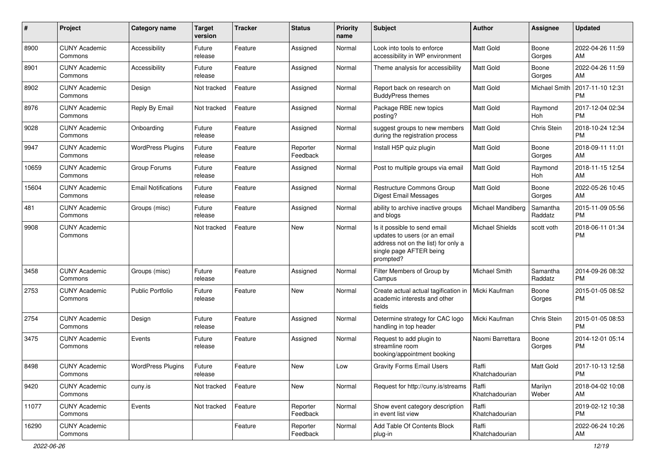| #     | Project                         | <b>Category name</b>       | <b>Target</b><br>version | <b>Tracker</b> | <b>Status</b>        | <b>Priority</b><br>name | <b>Subject</b>                                                                                                                               | <b>Author</b>           | <b>Assignee</b>     | <b>Updated</b>                |
|-------|---------------------------------|----------------------------|--------------------------|----------------|----------------------|-------------------------|----------------------------------------------------------------------------------------------------------------------------------------------|-------------------------|---------------------|-------------------------------|
| 8900  | <b>CUNY Academic</b><br>Commons | Accessibility              | Future<br>release        | Feature        | Assigned             | Normal                  | Look into tools to enforce<br>accessibility in WP environment                                                                                | <b>Matt Gold</b>        | Boone<br>Gorges     | 2022-04-26 11:59<br>AM        |
| 8901  | <b>CUNY Academic</b><br>Commons | Accessibility              | Future<br>release        | Feature        | Assigned             | Normal                  | Theme analysis for accessibility                                                                                                             | Matt Gold               | Boone<br>Gorges     | 2022-04-26 11:59<br>AM        |
| 8902  | <b>CUNY Academic</b><br>Commons | Design                     | Not tracked              | Feature        | Assigned             | Normal                  | Report back on research on<br><b>BuddyPress themes</b>                                                                                       | Matt Gold               | Michael Smith       | 2017-11-10 12:31<br><b>PM</b> |
| 8976  | <b>CUNY Academic</b><br>Commons | Reply By Email             | Not tracked              | Feature        | Assigned             | Normal                  | Package RBE new topics<br>posting?                                                                                                           | Matt Gold               | Raymond<br>Hoh      | 2017-12-04 02:34<br><b>PM</b> |
| 9028  | <b>CUNY Academic</b><br>Commons | Onboarding                 | Future<br>release        | Feature        | Assigned             | Normal                  | suggest groups to new members<br>during the registration process                                                                             | <b>Matt Gold</b>        | Chris Stein         | 2018-10-24 12:34<br><b>PM</b> |
| 9947  | <b>CUNY Academic</b><br>Commons | <b>WordPress Plugins</b>   | Future<br>release        | Feature        | Reporter<br>Feedback | Normal                  | Install H5P quiz plugin                                                                                                                      | Matt Gold               | Boone<br>Gorges     | 2018-09-11 11:01<br>AM        |
| 10659 | <b>CUNY Academic</b><br>Commons | Group Forums               | Future<br>release        | Feature        | Assigned             | Normal                  | Post to multiple groups via email                                                                                                            | Matt Gold               | Raymond<br>Hoh      | 2018-11-15 12:54<br>AM        |
| 15604 | <b>CUNY Academic</b><br>Commons | <b>Email Notifications</b> | Future<br>release        | Feature        | Assigned             | Normal                  | Restructure Commons Group<br>Digest Email Messages                                                                                           | <b>Matt Gold</b>        | Boone<br>Gorges     | 2022-05-26 10:45<br>AM        |
| 481   | <b>CUNY Academic</b><br>Commons | Groups (misc)              | Future<br>release        | Feature        | Assigned             | Normal                  | ability to archive inactive groups<br>and blogs                                                                                              | Michael Mandiberg       | Samantha<br>Raddatz | 2015-11-09 05:56<br><b>PM</b> |
| 9908  | <b>CUNY Academic</b><br>Commons |                            | Not tracked              | Feature        | <b>New</b>           | Normal                  | Is it possible to send email<br>updates to users (or an email<br>address not on the list) for only a<br>single page AFTER being<br>prompted? | <b>Michael Shields</b>  | scott voth          | 2018-06-11 01:34<br><b>PM</b> |
| 3458  | <b>CUNY Academic</b><br>Commons | Groups (misc)              | Future<br>release        | Feature        | Assigned             | Normal                  | Filter Members of Group by<br>Campus                                                                                                         | Michael Smith           | Samantha<br>Raddatz | 2014-09-26 08:32<br><b>PM</b> |
| 2753  | <b>CUNY Academic</b><br>Commons | <b>Public Portfolio</b>    | Future<br>release        | Feature        | New                  | Normal                  | Create actual actual tagification in<br>academic interests and other<br>fields                                                               | Micki Kaufman           | Boone<br>Gorges     | 2015-01-05 08:52<br><b>PM</b> |
| 2754  | <b>CUNY Academic</b><br>Commons | Design                     | Future<br>release        | Feature        | Assigned             | Normal                  | Determine strategy for CAC logo<br>handling in top header                                                                                    | Micki Kaufman           | Chris Stein         | 2015-01-05 08:53<br><b>PM</b> |
| 3475  | <b>CUNY Academic</b><br>Commons | Events                     | Future<br>release        | Feature        | Assigned             | Normal                  | Request to add plugin to<br>streamline room<br>booking/appointment booking                                                                   | Naomi Barrettara        | Boone<br>Gorges     | 2014-12-01 05:14<br><b>PM</b> |
| 8498  | <b>CUNY Academic</b><br>Commons | <b>WordPress Plugins</b>   | Future<br>release        | Feature        | New                  | Low                     | <b>Gravity Forms Email Users</b>                                                                                                             | Raffi<br>Khatchadourian | Matt Gold           | 2017-10-13 12:58<br>PM        |
| 9420  | <b>CUNY Academic</b><br>Commons | cuny.is                    | Not tracked              | Feature        | New                  | Normal                  | Request for http://cuny.is/streams                                                                                                           | Raffi<br>Khatchadourian | Marilyn<br>Weber    | 2018-04-02 10:08<br>AM        |
| 11077 | <b>CUNY Academic</b><br>Commons | Events                     | Not tracked              | Feature        | Reporter<br>Feedback | Normal                  | Show event category description<br>in event list view                                                                                        | Raffi<br>Khatchadourian |                     | 2019-02-12 10:38<br><b>PM</b> |
| 16290 | <b>CUNY Academic</b><br>Commons |                            |                          | Feature        | Reporter<br>Feedback | Normal                  | Add Table Of Contents Block<br>plug-in                                                                                                       | Raffi<br>Khatchadourian |                     | 2022-06-24 10:26<br>AM        |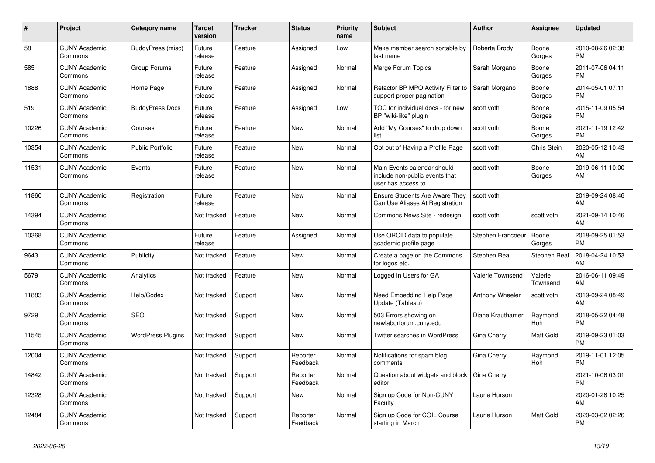| #     | Project                         | <b>Category name</b>     | <b>Target</b><br>version | <b>Tracker</b> | <b>Status</b>        | <b>Priority</b><br>name | <b>Subject</b>                                                                      | <b>Author</b>     | Assignee            | <b>Updated</b>                |
|-------|---------------------------------|--------------------------|--------------------------|----------------|----------------------|-------------------------|-------------------------------------------------------------------------------------|-------------------|---------------------|-------------------------------|
| 58    | <b>CUNY Academic</b><br>Commons | BuddyPress (misc)        | Future<br>release        | Feature        | Assigned             | Low                     | Make member search sortable by<br>last name                                         | Roberta Brody     | Boone<br>Gorges     | 2010-08-26 02:38<br><b>PM</b> |
| 585   | <b>CUNY Academic</b><br>Commons | Group Forums             | Future<br>release        | Feature        | Assigned             | Normal                  | Merge Forum Topics                                                                  | Sarah Morgano     | Boone<br>Gorges     | 2011-07-06 04:11<br><b>PM</b> |
| 1888  | <b>CUNY Academic</b><br>Commons | Home Page                | Future<br>release        | Feature        | Assigned             | Normal                  | Refactor BP MPO Activity Filter to<br>support proper pagination                     | Sarah Morgano     | Boone<br>Gorges     | 2014-05-01 07:11<br><b>PM</b> |
| 519   | <b>CUNY Academic</b><br>Commons | <b>BuddyPress Docs</b>   | Future<br>release        | Feature        | Assigned             | Low                     | TOC for individual docs - for new<br>BP "wiki-like" plugin                          | scott voth        | Boone<br>Gorges     | 2015-11-09 05:54<br><b>PM</b> |
| 10226 | <b>CUNY Academic</b><br>Commons | Courses                  | Future<br>release        | Feature        | <b>New</b>           | Normal                  | Add "My Courses" to drop down<br>list                                               | scott voth        | Boone<br>Gorges     | 2021-11-19 12:42<br><b>PM</b> |
| 10354 | <b>CUNY Academic</b><br>Commons | <b>Public Portfolio</b>  | Future<br>release        | Feature        | New                  | Normal                  | Opt out of Having a Profile Page                                                    | scott voth        | Chris Stein         | 2020-05-12 10:43<br>AM        |
| 11531 | <b>CUNY Academic</b><br>Commons | Events                   | Future<br>release        | Feature        | <b>New</b>           | Normal                  | Main Events calendar should<br>include non-public events that<br>user has access to | scott voth        | Boone<br>Gorges     | 2019-06-11 10:00<br>AM        |
| 11860 | <b>CUNY Academic</b><br>Commons | Registration             | Future<br>release        | Feature        | <b>New</b>           | Normal                  | <b>Ensure Students Are Aware They</b><br>Can Use Aliases At Registration            | scott voth        |                     | 2019-09-24 08:46<br>AM        |
| 14394 | <b>CUNY Academic</b><br>Commons |                          | Not tracked              | Feature        | <b>New</b>           | Normal                  | Commons News Site - redesign                                                        | scott voth        | scott voth          | 2021-09-14 10:46<br>AM        |
| 10368 | <b>CUNY Academic</b><br>Commons |                          | Future<br>release        | Feature        | Assigned             | Normal                  | Use ORCID data to populate<br>academic profile page                                 | Stephen Francoeur | Boone<br>Gorges     | 2018-09-25 01:53<br><b>PM</b> |
| 9643  | <b>CUNY Academic</b><br>Commons | Publicity                | Not tracked              | Feature        | <b>New</b>           | Normal                  | Create a page on the Commons<br>for logos etc.                                      | Stephen Real      | Stephen Real        | 2018-04-24 10:53<br>AM        |
| 5679  | <b>CUNY Academic</b><br>Commons | Analytics                | Not tracked              | Feature        | New                  | Normal                  | Logged In Users for GA                                                              | Valerie Townsend  | Valerie<br>Townsend | 2016-06-11 09:49<br>AM        |
| 11883 | <b>CUNY Academic</b><br>Commons | Help/Codex               | Not tracked              | Support        | <b>New</b>           | Normal                  | Need Embedding Help Page<br>Update (Tableau)                                        | Anthony Wheeler   | scott voth          | 2019-09-24 08:49<br>AM        |
| 9729  | <b>CUNY Academic</b><br>Commons | <b>SEO</b>               | Not tracked              | Support        | <b>New</b>           | Normal                  | 503 Errors showing on<br>newlaborforum.cuny.edu                                     | Diane Krauthamer  | Raymond<br>Hoh      | 2018-05-22 04:48<br><b>PM</b> |
| 11545 | <b>CUNY Academic</b><br>Commons | <b>WordPress Plugins</b> | Not tracked              | Support        | <b>New</b>           | Normal                  | <b>Twitter searches in WordPress</b>                                                | Gina Cherry       | Matt Gold           | 2019-09-23 01:03<br><b>PM</b> |
| 12004 | <b>CUNY Academic</b><br>Commons |                          | Not tracked              | Support        | Reporter<br>Feedback | Normal                  | Notifications for spam blog<br>comments                                             | Gina Cherry       | Raymond<br>Hoh      | 2019-11-01 12:05<br><b>PM</b> |
| 14842 | <b>CUNY Academic</b><br>Commons |                          | Not tracked              | Support        | Reporter<br>Feedback | Normal                  | Question about widgets and block<br>editor                                          | Gina Cherry       |                     | 2021-10-06 03:01<br><b>PM</b> |
| 12328 | <b>CUNY Academic</b><br>Commons |                          | Not tracked              | Support        | New                  | Normal                  | Sign up Code for Non-CUNY<br>Faculty                                                | Laurie Hurson     |                     | 2020-01-28 10:25<br>AM        |
| 12484 | <b>CUNY Academic</b><br>Commons |                          | Not tracked              | Support        | Reporter<br>Feedback | Normal                  | Sign up Code for COIL Course<br>starting in March                                   | Laurie Hurson     | Matt Gold           | 2020-03-02 02:26<br><b>PM</b> |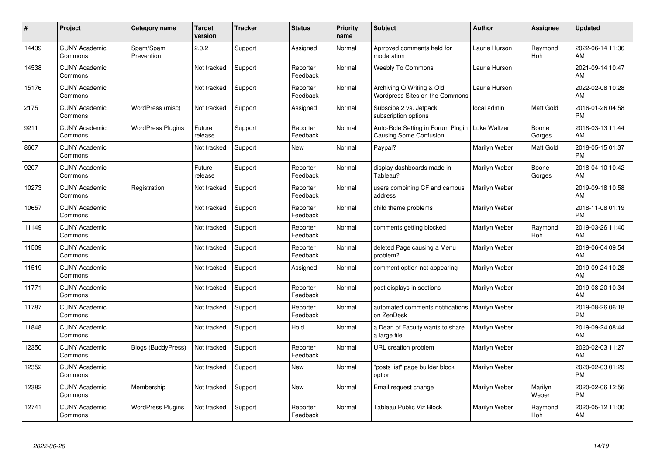| #     | Project                         | <b>Category name</b>     | Target<br>version | <b>Tracker</b> | <b>Status</b>        | <b>Priority</b><br>name | <b>Subject</b>                                                 | <b>Author</b> | <b>Assignee</b>  | <b>Updated</b>                |
|-------|---------------------------------|--------------------------|-------------------|----------------|----------------------|-------------------------|----------------------------------------------------------------|---------------|------------------|-------------------------------|
| 14439 | <b>CUNY Academic</b><br>Commons | Spam/Spam<br>Prevention  | 2.0.2             | Support        | Assigned             | Normal                  | Aprroved comments held for<br>moderation                       | Laurie Hurson | Raymond<br>Hoh   | 2022-06-14 11:36<br>AM        |
| 14538 | <b>CUNY Academic</b><br>Commons |                          | Not tracked       | Support        | Reporter<br>Feedback | Normal                  | <b>Weebly To Commons</b>                                       | Laurie Hurson |                  | 2021-09-14 10:47<br>AM        |
| 15176 | <b>CUNY Academic</b><br>Commons |                          | Not tracked       | Support        | Reporter<br>Feedback | Normal                  | Archiving Q Writing & Old<br>Wordpress Sites on the Commons    | Laurie Hurson |                  | 2022-02-08 10:28<br>AM        |
| 2175  | <b>CUNY Academic</b><br>Commons | WordPress (misc)         | Not tracked       | Support        | Assigned             | Normal                  | Subscibe 2 vs. Jetpack<br>subscription options                 | local admin   | Matt Gold        | 2016-01-26 04:58<br><b>PM</b> |
| 9211  | <b>CUNY Academic</b><br>Commons | <b>WordPress Plugins</b> | Future<br>release | Support        | Reporter<br>Feedback | Normal                  | Auto-Role Setting in Forum Plugin<br>Causing Some Confusion    | Luke Waltzer  | Boone<br>Gorges  | 2018-03-13 11:44<br>AM        |
| 8607  | <b>CUNY Academic</b><br>Commons |                          | Not tracked       | Support        | <b>New</b>           | Normal                  | Paypal?                                                        | Marilyn Weber | Matt Gold        | 2018-05-15 01:37<br><b>PM</b> |
| 9207  | <b>CUNY Academic</b><br>Commons |                          | Future<br>release | Support        | Reporter<br>Feedback | Normal                  | display dashboards made in<br>Tableau?                         | Marilyn Weber | Boone<br>Gorges  | 2018-04-10 10:42<br>AM        |
| 10273 | <b>CUNY Academic</b><br>Commons | Registration             | Not tracked       | Support        | Reporter<br>Feedback | Normal                  | users combining CF and campus<br>address                       | Marilyn Weber |                  | 2019-09-18 10:58<br>AM        |
| 10657 | <b>CUNY Academic</b><br>Commons |                          | Not tracked       | Support        | Reporter<br>Feedback | Normal                  | child theme problems                                           | Marilyn Weber |                  | 2018-11-08 01:19<br><b>PM</b> |
| 11149 | <b>CUNY Academic</b><br>Commons |                          | Not tracked       | Support        | Reporter<br>Feedback | Normal                  | comments getting blocked                                       | Marilyn Weber | Raymond<br>Hoh   | 2019-03-26 11:40<br>AM        |
| 11509 | <b>CUNY Academic</b><br>Commons |                          | Not tracked       | Support        | Reporter<br>Feedback | Normal                  | deleted Page causing a Menu<br>problem?                        | Marilyn Weber |                  | 2019-06-04 09:54<br>AM        |
| 11519 | <b>CUNY Academic</b><br>Commons |                          | Not tracked       | Support        | Assigned             | Normal                  | comment option not appearing                                   | Marilyn Weber |                  | 2019-09-24 10:28<br>AM        |
| 11771 | <b>CUNY Academic</b><br>Commons |                          | Not tracked       | Support        | Reporter<br>Feedback | Normal                  | post displays in sections                                      | Marilyn Weber |                  | 2019-08-20 10:34<br>AM        |
| 11787 | <b>CUNY Academic</b><br>Commons |                          | Not tracked       | Support        | Reporter<br>Feedback | Normal                  | automated comments notifications   Marilyn Weber<br>on ZenDesk |               |                  | 2019-08-26 06:18<br><b>PM</b> |
| 11848 | <b>CUNY Academic</b><br>Commons |                          | Not tracked       | Support        | Hold                 | Normal                  | a Dean of Faculty wants to share<br>a large file               | Marilyn Weber |                  | 2019-09-24 08:44<br>AM        |
| 12350 | <b>CUNY Academic</b><br>Commons | Blogs (BuddyPress)       | Not tracked       | Support        | Reporter<br>Feedback | Normal                  | <b>URL</b> creation problem                                    | Marilyn Weber |                  | 2020-02-03 11:27<br>AM        |
| 12352 | <b>CUNY Academic</b><br>Commons |                          | Not tracked       | Support        | New                  | Normal                  | 'posts list" page builder block<br>option                      | Marilyn Weber |                  | 2020-02-03 01:29<br><b>PM</b> |
| 12382 | <b>CUNY Academic</b><br>Commons | Membership               | Not tracked       | Support        | <b>New</b>           | Normal                  | Email request change                                           | Marilyn Weber | Marilyn<br>Weber | 2020-02-06 12:56<br><b>PM</b> |
| 12741 | <b>CUNY Academic</b><br>Commons | <b>WordPress Plugins</b> | Not tracked       | Support        | Reporter<br>Feedback | Normal                  | Tableau Public Viz Block                                       | Marilyn Weber | Raymond<br>Hoh   | 2020-05-12 11:00<br>AM        |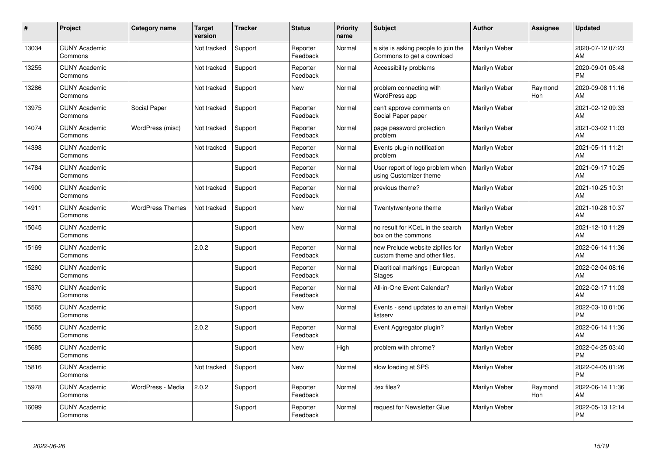| #     | Project                         | <b>Category name</b>    | <b>Target</b><br>version | <b>Tracker</b> | <b>Status</b>        | <b>Priority</b><br>name | <b>Subject</b>                                                    | <b>Author</b> | <b>Assignee</b>       | <b>Updated</b>                |
|-------|---------------------------------|-------------------------|--------------------------|----------------|----------------------|-------------------------|-------------------------------------------------------------------|---------------|-----------------------|-------------------------------|
| 13034 | <b>CUNY Academic</b><br>Commons |                         | Not tracked              | Support        | Reporter<br>Feedback | Normal                  | a site is asking people to join the<br>Commons to get a download  | Marilyn Weber |                       | 2020-07-12 07:23<br>AM        |
| 13255 | <b>CUNY Academic</b><br>Commons |                         | Not tracked              | Support        | Reporter<br>Feedback | Normal                  | Accessibility problems                                            | Marilyn Weber |                       | 2020-09-01 05:48<br><b>PM</b> |
| 13286 | <b>CUNY Academic</b><br>Commons |                         | Not tracked              | Support        | <b>New</b>           | Normal                  | problem connecting with<br>WordPress app                          | Marilyn Weber | Raymond<br><b>Hoh</b> | 2020-09-08 11:16<br>AM        |
| 13975 | <b>CUNY Academic</b><br>Commons | Social Paper            | Not tracked              | Support        | Reporter<br>Feedback | Normal                  | can't approve comments on<br>Social Paper paper                   | Marilyn Weber |                       | 2021-02-12 09:33<br>AM        |
| 14074 | <b>CUNY Academic</b><br>Commons | WordPress (misc)        | Not tracked              | Support        | Reporter<br>Feedback | Normal                  | page password protection<br>problem                               | Marilyn Weber |                       | 2021-03-02 11:03<br>AM        |
| 14398 | <b>CUNY Academic</b><br>Commons |                         | Not tracked              | Support        | Reporter<br>Feedback | Normal                  | Events plug-in notification<br>problem                            | Marilyn Weber |                       | 2021-05-11 11:21<br>AM        |
| 14784 | <b>CUNY Academic</b><br>Commons |                         |                          | Support        | Reporter<br>Feedback | Normal                  | User report of logo problem when<br>using Customizer theme        | Marilyn Weber |                       | 2021-09-17 10:25<br>AM        |
| 14900 | <b>CUNY Academic</b><br>Commons |                         | Not tracked              | Support        | Reporter<br>Feedback | Normal                  | previous theme?                                                   | Marilyn Weber |                       | 2021-10-25 10:31<br>AM        |
| 14911 | <b>CUNY Academic</b><br>Commons | <b>WordPress Themes</b> | Not tracked              | Support        | New                  | Normal                  | Twentytwentyone theme                                             | Marilyn Weber |                       | 2021-10-28 10:37<br>AM        |
| 15045 | <b>CUNY Academic</b><br>Commons |                         |                          | Support        | <b>New</b>           | Normal                  | no result for KCeL in the search<br>box on the commons            | Marilyn Weber |                       | 2021-12-10 11:29<br>AM        |
| 15169 | <b>CUNY Academic</b><br>Commons |                         | 2.0.2                    | Support        | Reporter<br>Feedback | Normal                  | new Prelude website zipfiles for<br>custom theme and other files. | Marilyn Weber |                       | 2022-06-14 11:36<br>AM        |
| 15260 | <b>CUNY Academic</b><br>Commons |                         |                          | Support        | Reporter<br>Feedback | Normal                  | Diacritical markings   European<br><b>Stages</b>                  | Marilyn Weber |                       | 2022-02-04 08:16<br>AM        |
| 15370 | <b>CUNY Academic</b><br>Commons |                         |                          | Support        | Reporter<br>Feedback | Normal                  | All-in-One Event Calendar?                                        | Marilyn Weber |                       | 2022-02-17 11:03<br>AM        |
| 15565 | <b>CUNY Academic</b><br>Commons |                         |                          | Support        | <b>New</b>           | Normal                  | Events - send updates to an email<br>listserv                     | Marilyn Weber |                       | 2022-03-10 01:06<br><b>PM</b> |
| 15655 | <b>CUNY Academic</b><br>Commons |                         | 2.0.2                    | Support        | Reporter<br>Feedback | Normal                  | Event Aggregator plugin?                                          | Marilyn Weber |                       | 2022-06-14 11:36<br>AM        |
| 15685 | <b>CUNY Academic</b><br>Commons |                         |                          | Support        | New                  | High                    | problem with chrome?                                              | Marilyn Weber |                       | 2022-04-25 03:40<br><b>PM</b> |
| 15816 | <b>CUNY Academic</b><br>Commons |                         | Not tracked              | Support        | New                  | Normal                  | slow loading at SPS                                               | Marilyn Weber |                       | 2022-04-05 01:26<br><b>PM</b> |
| 15978 | <b>CUNY Academic</b><br>Commons | WordPress - Media       | 2.0.2                    | Support        | Reporter<br>Feedback | Normal                  | tex files?                                                        | Marilyn Weber | Raymond<br>Hoh        | 2022-06-14 11:36<br>AM        |
| 16099 | <b>CUNY Academic</b><br>Commons |                         |                          | Support        | Reporter<br>Feedback | Normal                  | request for Newsletter Glue                                       | Marilyn Weber |                       | 2022-05-13 12:14<br><b>PM</b> |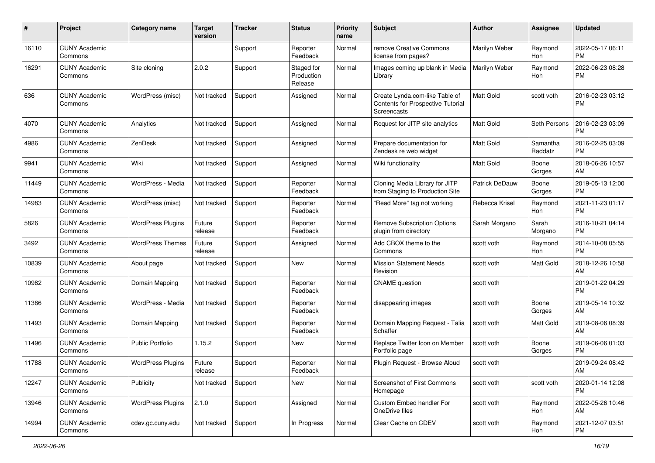| #     | Project                         | <b>Category name</b>     | <b>Target</b><br>version | Tracker | <b>Status</b>                       | <b>Priority</b><br>name | <b>Subject</b>                                                                     | Author                | Assignee            | <b>Updated</b>                |
|-------|---------------------------------|--------------------------|--------------------------|---------|-------------------------------------|-------------------------|------------------------------------------------------------------------------------|-----------------------|---------------------|-------------------------------|
| 16110 | <b>CUNY Academic</b><br>Commons |                          |                          | Support | Reporter<br>Feedback                | Normal                  | remove Creative Commons<br>license from pages?                                     | Marilyn Weber         | Raymond<br>Hoh      | 2022-05-17 06:11<br><b>PM</b> |
| 16291 | <b>CUNY Academic</b><br>Commons | Site cloning             | 2.0.2                    | Support | Staged for<br>Production<br>Release | Normal                  | Images coming up blank in Media<br>Library                                         | Marilyn Weber         | Raymond<br>Hoh      | 2022-06-23 08:28<br><b>PM</b> |
| 636   | <b>CUNY Academic</b><br>Commons | WordPress (misc)         | Not tracked              | Support | Assigned                            | Normal                  | Create Lynda.com-like Table of<br>Contents for Prospective Tutorial<br>Screencasts | Matt Gold             | scott voth          | 2016-02-23 03:12<br><b>PM</b> |
| 4070  | <b>CUNY Academic</b><br>Commons | Analytics                | Not tracked              | Support | Assigned                            | Normal                  | Request for JITP site analytics                                                    | Matt Gold             | Seth Persons        | 2016-02-23 03:09<br><b>PM</b> |
| 4986  | <b>CUNY Academic</b><br>Commons | ZenDesk                  | Not tracked              | Support | Assigned                            | Normal                  | Prepare documentation for<br>Zendesk re web widget                                 | <b>Matt Gold</b>      | Samantha<br>Raddatz | 2016-02-25 03:09<br><b>PM</b> |
| 9941  | <b>CUNY Academic</b><br>Commons | Wiki                     | Not tracked              | Support | Assigned                            | Normal                  | Wiki functionality                                                                 | Matt Gold             | Boone<br>Gorges     | 2018-06-26 10:57<br>AM        |
| 11449 | <b>CUNY Academic</b><br>Commons | WordPress - Media        | Not tracked              | Support | Reporter<br>Feedback                | Normal                  | Cloning Media Library for JITP<br>from Staging to Production Site                  | <b>Patrick DeDauw</b> | Boone<br>Gorges     | 2019-05-13 12:00<br><b>PM</b> |
| 14983 | <b>CUNY Academic</b><br>Commons | WordPress (misc)         | Not tracked              | Support | Reporter<br>Feedback                | Normal                  | "Read More" tag not working                                                        | Rebecca Krisel        | Raymond<br>Hoh      | 2021-11-23 01:17<br><b>PM</b> |
| 5826  | <b>CUNY Academic</b><br>Commons | <b>WordPress Plugins</b> | Future<br>release        | Support | Reporter<br>Feedback                | Normal                  | <b>Remove Subscription Options</b><br>plugin from directory                        | Sarah Morgano         | Sarah<br>Morgano    | 2016-10-21 04:14<br><b>PM</b> |
| 3492  | <b>CUNY Academic</b><br>Commons | <b>WordPress Themes</b>  | Future<br>release        | Support | Assigned                            | Normal                  | Add CBOX theme to the<br>Commons                                                   | scott voth            | Raymond<br>Hoh      | 2014-10-08 05:55<br><b>PM</b> |
| 10839 | <b>CUNY Academic</b><br>Commons | About page               | Not tracked              | Support | New                                 | Normal                  | <b>Mission Statement Needs</b><br>Revision                                         | scott voth            | <b>Matt Gold</b>    | 2018-12-26 10:58<br>AM        |
| 10982 | <b>CUNY Academic</b><br>Commons | Domain Mapping           | Not tracked              | Support | Reporter<br>Feedback                | Normal                  | <b>CNAME</b> question                                                              | scott voth            |                     | 2019-01-22 04:29<br><b>PM</b> |
| 11386 | <b>CUNY Academic</b><br>Commons | WordPress - Media        | Not tracked              | Support | Reporter<br>Feedback                | Normal                  | disappearing images                                                                | scott voth            | Boone<br>Gorges     | 2019-05-14 10:32<br>AM        |
| 11493 | <b>CUNY Academic</b><br>Commons | Domain Mapping           | Not tracked              | Support | Reporter<br>Feedback                | Normal                  | Domain Mapping Request - Talia<br>Schaffer                                         | scott voth            | Matt Gold           | 2019-08-06 08:39<br>AM        |
| 11496 | <b>CUNY Academic</b><br>Commons | <b>Public Portfolio</b>  | 1.15.2                   | Support | New                                 | Normal                  | Replace Twitter Icon on Member<br>Portfolio page                                   | scott voth            | Boone<br>Gorges     | 2019-06-06 01:03<br><b>PM</b> |
| 11788 | <b>CUNY Academic</b><br>Commons | <b>WordPress Plugins</b> | Future<br>release        | Support | Reporter<br>Feedback                | Normal                  | Plugin Request - Browse Aloud                                                      | scott voth            |                     | 2019-09-24 08:42<br>AM        |
| 12247 | <b>CUNY Academic</b><br>Commons | Publicity                | Not tracked              | Support | New                                 | Normal                  | Screenshot of First Commons<br>Homepage                                            | scott voth            | scott voth          | 2020-01-14 12:08<br><b>PM</b> |
| 13946 | <b>CUNY Academic</b><br>Commons | <b>WordPress Plugins</b> | 2.1.0                    | Support | Assigned                            | Normal                  | Custom Embed handler For<br>OneDrive files                                         | scott voth            | Raymond<br>Hoh      | 2022-05-26 10:46<br>AM        |
| 14994 | <b>CUNY Academic</b><br>Commons | cdev.gc.cuny.edu         | Not tracked              | Support | In Progress                         | Normal                  | Clear Cache on CDEV                                                                | scott voth            | Raymond<br>Hoh      | 2021-12-07 03:51<br>PM        |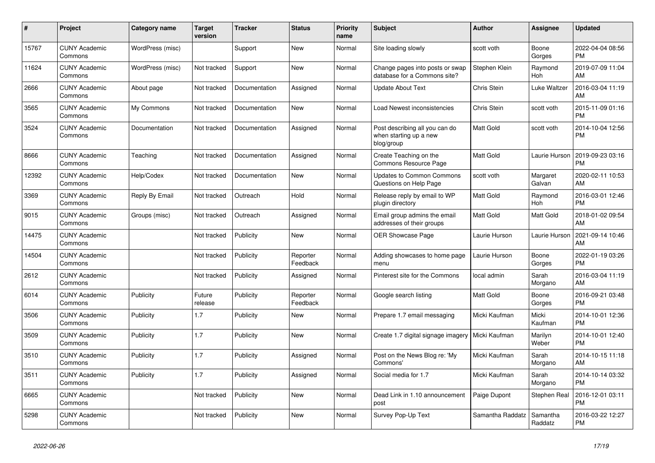| #     | <b>Project</b>                  | Category name    | <b>Target</b><br>version | <b>Tracker</b> | <b>Status</b>        | <b>Priority</b><br>name | <b>Subject</b>                                                         | Author           | Assignee              | <b>Updated</b>                |
|-------|---------------------------------|------------------|--------------------------|----------------|----------------------|-------------------------|------------------------------------------------------------------------|------------------|-----------------------|-------------------------------|
| 15767 | <b>CUNY Academic</b><br>Commons | WordPress (misc) |                          | Support        | <b>New</b>           | Normal                  | Site loading slowly                                                    | scott voth       | Boone<br>Gorges       | 2022-04-04 08:56<br><b>PM</b> |
| 11624 | <b>CUNY Academic</b><br>Commons | WordPress (misc) | Not tracked              | Support        | <b>New</b>           | Normal                  | Change pages into posts or swap<br>database for a Commons site?        | Stephen Klein    | Raymond<br>Hoh        | 2019-07-09 11:04<br>AM        |
| 2666  | <b>CUNY Academic</b><br>Commons | About page       | Not tracked              | Documentation  | Assigned             | Normal                  | <b>Update About Text</b>                                               | Chris Stein      | Luke Waltzer          | 2016-03-04 11:19<br>AM        |
| 3565  | <b>CUNY Academic</b><br>Commons | My Commons       | Not tracked              | Documentation  | <b>New</b>           | Normal                  | Load Newest inconsistencies                                            | Chris Stein      | scott voth            | 2015-11-09 01:16<br>PM        |
| 3524  | <b>CUNY Academic</b><br>Commons | Documentation    | Not tracked              | Documentation  | Assigned             | Normal                  | Post describing all you can do<br>when starting up a new<br>blog/group | Matt Gold        | scott voth            | 2014-10-04 12:56<br>РM        |
| 8666  | <b>CUNY Academic</b><br>Commons | Teaching         | Not tracked              | Documentation  | Assigned             | Normal                  | Create Teaching on the<br>Commons Resource Page                        | Matt Gold        | Laurie Hurson         | 2019-09-23 03:16<br>PM        |
| 12392 | <b>CUNY Academic</b><br>Commons | Help/Codex       | Not tracked              | Documentation  | <b>New</b>           | Normal                  | <b>Updates to Common Commons</b><br>Questions on Help Page             | scott voth       | Margaret<br>Galvan    | 2020-02-11 10:53<br>AM        |
| 3369  | <b>CUNY Academic</b><br>Commons | Reply By Email   | Not tracked              | Outreach       | Hold                 | Normal                  | Release reply by email to WP<br>plugin directory                       | Matt Gold        | Raymond<br><b>Hoh</b> | 2016-03-01 12:46<br><b>PM</b> |
| 9015  | <b>CUNY Academic</b><br>Commons | Groups (misc)    | Not tracked              | Outreach       | Assigned             | Normal                  | Email group admins the email<br>addresses of their groups              | Matt Gold        | Matt Gold             | 2018-01-02 09:54<br>AM        |
| 14475 | <b>CUNY Academic</b><br>Commons |                  | Not tracked              | Publicity      | <b>New</b>           | Normal                  | <b>OER Showcase Page</b>                                               | Laurie Hurson    | Laurie Hurson         | 2021-09-14 10:46<br>AM        |
| 14504 | <b>CUNY Academic</b><br>Commons |                  | Not tracked              | Publicity      | Reporter<br>Feedback | Normal                  | Adding showcases to home page<br>menu                                  | Laurie Hurson    | Boone<br>Gorges       | 2022-01-19 03:26<br><b>PM</b> |
| 2612  | <b>CUNY Academic</b><br>Commons |                  | Not tracked              | Publicity      | Assigned             | Normal                  | Pinterest site for the Commons                                         | local admin      | Sarah<br>Morgano      | 2016-03-04 11:19<br>AM        |
| 6014  | <b>CUNY Academic</b><br>Commons | Publicity        | Future<br>release        | Publicity      | Reporter<br>Feedback | Normal                  | Google search listing                                                  | Matt Gold        | Boone<br>Gorges       | 2016-09-21 03:48<br><b>PM</b> |
| 3506  | <b>CUNY Academic</b><br>Commons | Publicity        | 1.7                      | Publicity      | <b>New</b>           | Normal                  | Prepare 1.7 email messaging                                            | Micki Kaufman    | Micki<br>Kaufman      | 2014-10-01 12:36<br><b>PM</b> |
| 3509  | <b>CUNY Academic</b><br>Commons | Publicity        | 1.7                      | Publicity      | New                  | Normal                  | Create 1.7 digital signage imagery                                     | Micki Kaufman    | Marilyn<br>Weber      | 2014-10-01 12:40<br><b>PM</b> |
| 3510  | <b>CUNY Academic</b><br>Commons | Publicity        | 1.7                      | Publicity      | Assigned             | Normal                  | Post on the News Blog re: 'My<br>Commons'                              | Micki Kaufman    | Sarah<br>Morgano      | 2014-10-15 11:18<br>AM        |
| 3511  | <b>CUNY Academic</b><br>Commons | Publicity        | 1.7                      | Publicity      | Assigned             | Normal                  | Social media for 1.7                                                   | Micki Kaufman    | Sarah<br>Morgano      | 2014-10-14 03:32<br>PM        |
| 6665  | <b>CUNY Academic</b><br>Commons |                  | Not tracked              | Publicity      | New                  | Normal                  | Dead Link in 1.10 announcement<br>post                                 | Paige Dupont     | Stephen Real          | 2016-12-01 03:11<br>РM        |
| 5298  | <b>CUNY Academic</b><br>Commons |                  | Not tracked              | Publicity      | <b>New</b>           | Normal                  | Survey Pop-Up Text                                                     | Samantha Raddatz | Samantha<br>Raddatz   | 2016-03-22 12:27<br><b>PM</b> |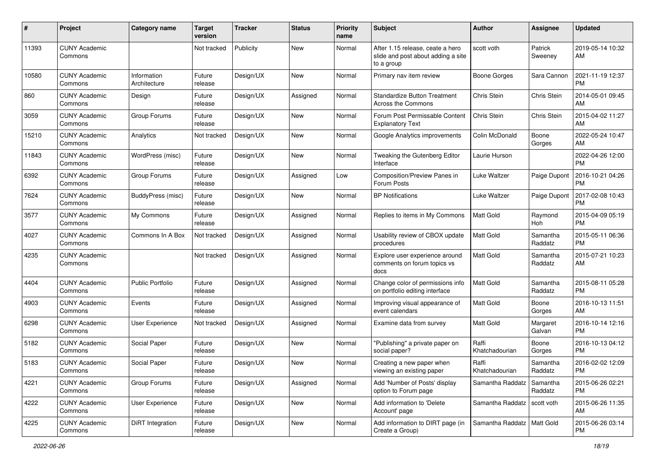| #     | Project                         | <b>Category name</b>        | <b>Target</b><br>version | <b>Tracker</b> | <b>Status</b> | <b>Priority</b><br>name | Subject                                                                              | Author                        | Assignee            | <b>Updated</b>                |
|-------|---------------------------------|-----------------------------|--------------------------|----------------|---------------|-------------------------|--------------------------------------------------------------------------------------|-------------------------------|---------------------|-------------------------------|
| 11393 | <b>CUNY Academic</b><br>Commons |                             | Not tracked              | Publicity      | New           | Normal                  | After 1.15 release, ceate a hero<br>slide and post about adding a site<br>to a group | scott voth                    | Patrick<br>Sweeney  | 2019-05-14 10:32<br>ΑM        |
| 10580 | <b>CUNY Academic</b><br>Commons | Information<br>Architecture | Future<br>release        | Design/UX      | <b>New</b>    | Normal                  | Primary nav item review                                                              | <b>Boone Gorges</b>           | Sara Cannon         | 2021-11-19 12:37<br><b>PM</b> |
| 860   | <b>CUNY Academic</b><br>Commons | Design                      | Future<br>release        | Design/UX      | Assigned      | Normal                  | <b>Standardize Button Treatment</b><br>Across the Commons                            | Chris Stein                   | Chris Stein         | 2014-05-01 09:45<br>AM        |
| 3059  | CUNY Academic<br>Commons        | Group Forums                | Future<br>release        | Design/UX      | New           | Normal                  | Forum Post Permissable Content<br><b>Explanatory Text</b>                            | Chris Stein                   | Chris Stein         | 2015-04-02 11:27<br>AM        |
| 15210 | <b>CUNY Academic</b><br>Commons | Analytics                   | Not tracked              | Design/UX      | <b>New</b>    | Normal                  | Google Analytics improvements                                                        | Colin McDonald                | Boone<br>Gorges     | 2022-05-24 10:47<br>AM        |
| 11843 | <b>CUNY Academic</b><br>Commons | WordPress (misc)            | Future<br>release        | Design/UX      | <b>New</b>    | Normal                  | Tweaking the Gutenberg Editor<br>Interface                                           | Laurie Hurson                 |                     | 2022-04-26 12:00<br><b>PM</b> |
| 6392  | <b>CUNY Academic</b><br>Commons | Group Forums                | Future<br>release        | Design/UX      | Assigned      | Low                     | Composition/Preview Panes in<br>Forum Posts                                          | Luke Waltzer                  | Paige Dupont        | 2016-10-21 04:26<br><b>PM</b> |
| 7624  | <b>CUNY Academic</b><br>Commons | BuddyPress (misc)           | Future<br>release        | Design/UX      | New           | Normal                  | <b>BP</b> Notifications                                                              | Luke Waltzer                  | Paige Dupont        | 2017-02-08 10:43<br><b>PM</b> |
| 3577  | <b>CUNY Academic</b><br>Commons | My Commons                  | Future<br>release        | Design/UX      | Assigned      | Normal                  | Replies to items in My Commons                                                       | <b>Matt Gold</b>              | Raymond<br>Hoh      | 2015-04-09 05:19<br><b>PM</b> |
| 4027  | <b>CUNY Academic</b><br>Commons | Commons In A Box            | Not tracked              | Design/UX      | Assigned      | Normal                  | Usability review of CBOX update<br>procedures                                        | Matt Gold                     | Samantha<br>Raddatz | 2015-05-11 06:36<br><b>PM</b> |
| 4235  | <b>CUNY Academic</b><br>Commons |                             | Not tracked              | Design/UX      | Assigned      | Normal                  | Explore user experience around<br>comments on forum topics vs<br>docs                | Matt Gold                     | Samantha<br>Raddatz | 2015-07-21 10:23<br>AM        |
| 4404  | <b>CUNY Academic</b><br>Commons | <b>Public Portfolio</b>     | Future<br>release        | Design/UX      | Assigned      | Normal                  | Change color of permissions info<br>on portfolio editing interface                   | <b>Matt Gold</b>              | Samantha<br>Raddatz | 2015-08-11 05:28<br><b>PM</b> |
| 4903  | <b>CUNY Academic</b><br>Commons | Events                      | Future<br>release        | Design/UX      | Assigned      | Normal                  | Improving visual appearance of<br>event calendars                                    | <b>Matt Gold</b>              | Boone<br>Gorges     | 2016-10-13 11:51<br>AM        |
| 6298  | <b>CUNY Academic</b><br>Commons | User Experience             | Not tracked              | Design/UX      | Assigned      | Normal                  | Examine data from survey                                                             | <b>Matt Gold</b>              | Margaret<br>Galvan  | 2016-10-14 12:16<br><b>PM</b> |
| 5182  | <b>CUNY Academic</b><br>Commons | Social Paper                | Future<br>release        | Design/UX      | New           | Normal                  | "Publishing" a private paper on<br>social paper?                                     | Raffi<br>Khatchadourian       | Boone<br>Gorges     | 2016-10-13 04:12<br><b>PM</b> |
| 5183  | <b>CUNY Academic</b><br>Commons | Social Paper                | Future<br>release        | Design/UX      | New           | Normal                  | Creating a new paper when<br>viewing an existing paper                               | Raffi<br>Khatchadourian       | Samantha<br>Raddatz | 2016-02-02 12:09<br>PM        |
| 4221  | <b>CUNY Academic</b><br>Commons | Group Forums                | Future<br>release        | Design/UX      | Assigned      | Normal                  | Add 'Number of Posts' display<br>option to Forum page                                | Samantha Raddatz              | Samantha<br>Raddatz | 2015-06-26 02:21<br><b>PM</b> |
| 4222  | <b>CUNY Academic</b><br>Commons | User Experience             | Future<br>release        | Design/UX      | New           | Normal                  | Add information to 'Delete<br>Account' page                                          | Samantha Raddatz   scott voth |                     | 2015-06-26 11:35<br>AM        |
| 4225  | <b>CUNY Academic</b><br>Commons | DiRT Integration            | Future<br>release        | Design/UX      | New           | Normal                  | Add information to DIRT page (in<br>Create a Group)                                  | Samantha Raddatz   Matt Gold  |                     | 2015-06-26 03:14<br>PM        |